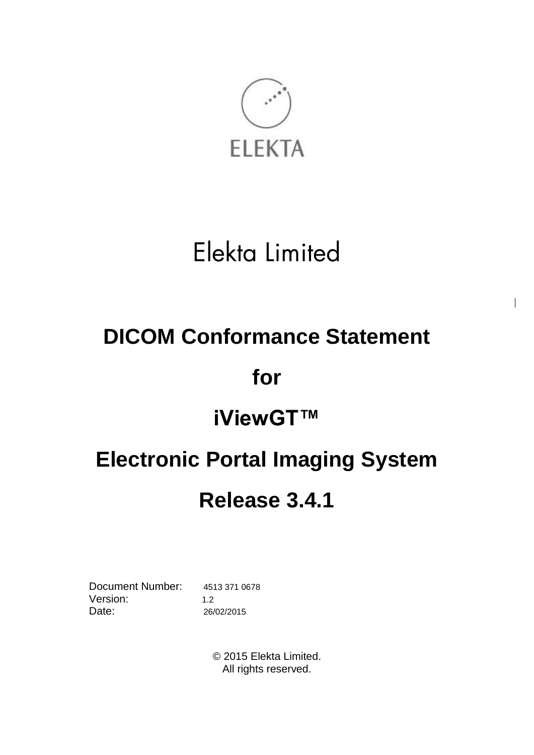

# Elekta Limited

# **DICOM Conformance Statement**

# **for**

# **iViewGT™**

# **Electronic Portal Imaging System Release 3.4.1**

Document Number: 4513 371 0678 Version: 1.2 Date: 26/02/2015

© 2015 Elekta Limited. All rights reserved.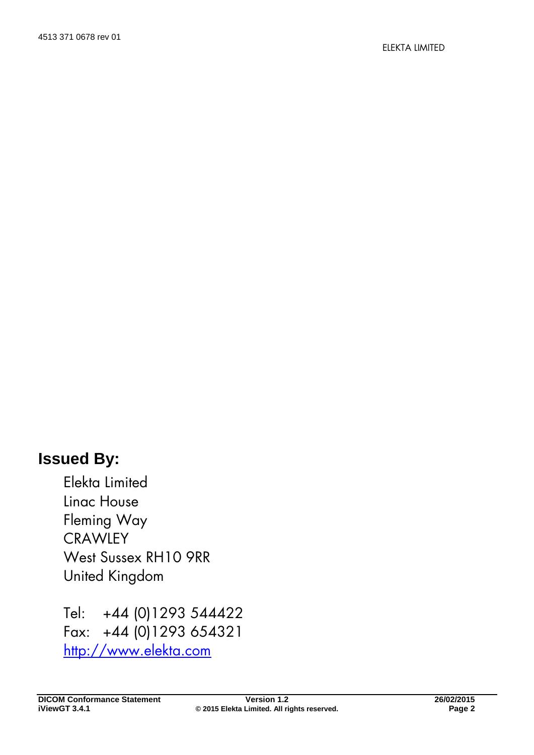# **Issued By:**

Elekta Limited Linac House Fleming Way **CRAWLEY** West Sussex RH10 9RR United Kingdom

Tel: +44 (0)1293 544422 Fax: +44 (0)1293 654321 [http://www.elekta.com](http://www.elekta.com/)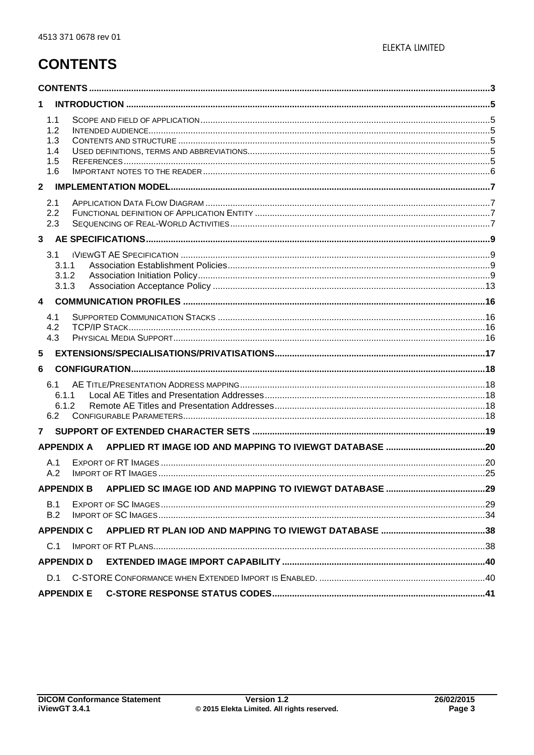# <span id="page-2-0"></span>**CONTENTS**

| 1                                      |  |
|----------------------------------------|--|
| 1.1<br>1.2<br>1.3<br>1.4<br>1.5<br>1.6 |  |
| $\mathbf{2}$                           |  |
| 2.1<br>2.2<br>2.3                      |  |
| 3                                      |  |
| 3.1<br>3.1.1<br>3.1.2<br>3.1.3         |  |
| $\overline{4}$                         |  |
| 4.1<br>4.2<br>4.3                      |  |
| 5                                      |  |
| 6                                      |  |
| 6.1<br>6.1.1<br>6.1.2<br>6.2           |  |
| 7                                      |  |
| <b>APPENDIX A</b>                      |  |
| A.1<br>A.2                             |  |
| <b>APPENDIX B</b>                      |  |
| B.1<br>B.2                             |  |
| <b>APPENDIX C</b>                      |  |
| C.1                                    |  |
| <b>APPENDIX D</b>                      |  |
| D.1<br><b>APPENDIX E</b>               |  |
|                                        |  |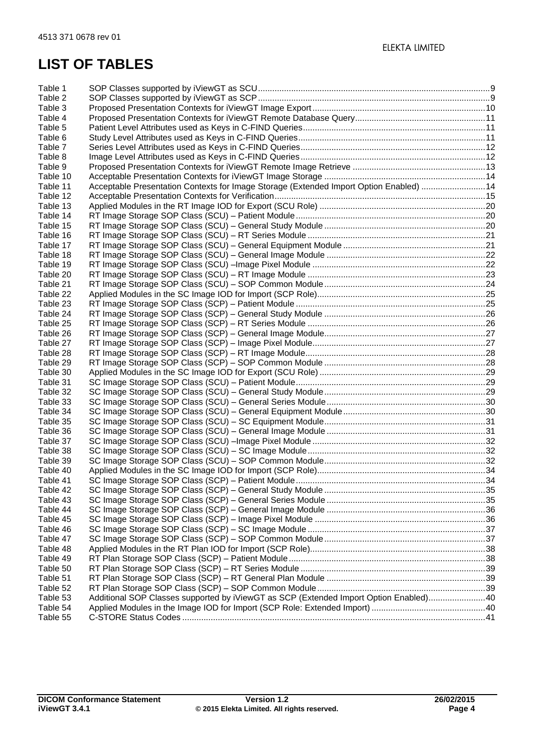| Table 1  |                                                                                        |  |
|----------|----------------------------------------------------------------------------------------|--|
| Table 2  |                                                                                        |  |
| Table 3  |                                                                                        |  |
| Table 4  |                                                                                        |  |
| Table 5  |                                                                                        |  |
| Table 6  |                                                                                        |  |
| Table 7  |                                                                                        |  |
| Table 8  |                                                                                        |  |
| Table 9  |                                                                                        |  |
| Table 10 |                                                                                        |  |
| Table 11 | Acceptable Presentation Contexts for Image Storage (Extended Import Option Enabled) 14 |  |
| Table 12 |                                                                                        |  |
| Table 13 |                                                                                        |  |
| Table 14 |                                                                                        |  |
| Table 15 |                                                                                        |  |
| Table 16 |                                                                                        |  |
| Table 17 |                                                                                        |  |
| Table 18 |                                                                                        |  |
| Table 19 |                                                                                        |  |
| Table 20 |                                                                                        |  |
| Table 21 |                                                                                        |  |
| Table 22 |                                                                                        |  |
| Table 23 |                                                                                        |  |
| Table 24 |                                                                                        |  |
| Table 25 |                                                                                        |  |
| Table 26 |                                                                                        |  |
| Table 27 |                                                                                        |  |
| Table 28 |                                                                                        |  |
| Table 29 |                                                                                        |  |
| Table 30 |                                                                                        |  |
| Table 31 |                                                                                        |  |
| Table 32 |                                                                                        |  |
| Table 33 |                                                                                        |  |
| Table 34 |                                                                                        |  |
| Table 35 |                                                                                        |  |
| Table 36 |                                                                                        |  |
| Table 37 |                                                                                        |  |
| Table 38 |                                                                                        |  |
| Table 39 |                                                                                        |  |
| Table 40 |                                                                                        |  |
| Table 41 |                                                                                        |  |
| Table 42 |                                                                                        |  |
| Table 43 |                                                                                        |  |
| Table 44 |                                                                                        |  |
| Table 45 |                                                                                        |  |
| Table 46 |                                                                                        |  |
| Table 47 |                                                                                        |  |
| Table 48 |                                                                                        |  |
| Table 49 |                                                                                        |  |
| Table 50 |                                                                                        |  |
| Table 51 |                                                                                        |  |
| Table 52 | Additional SOP Classes supported by iViewGT as SCP (Extended Import Option Enabled)40  |  |
| Table 53 |                                                                                        |  |
| Table 54 |                                                                                        |  |
| Table 55 |                                                                                        |  |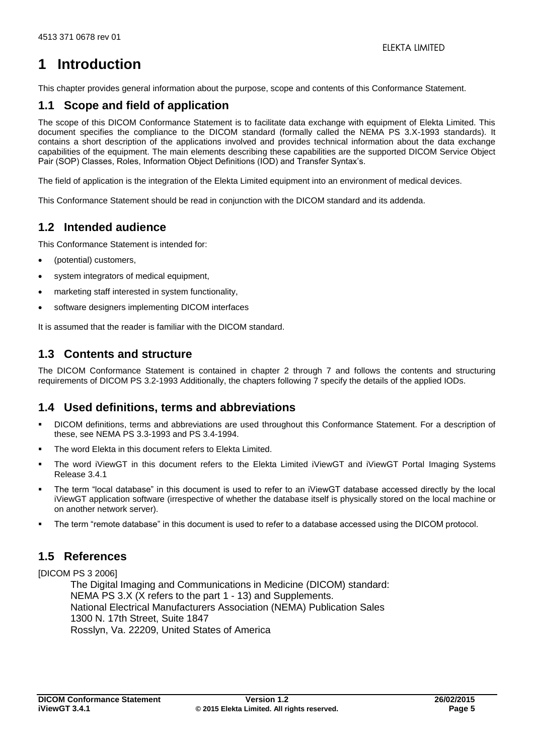# <span id="page-4-0"></span>**1 Introduction**

This chapter provides general information about the purpose, scope and contents of this Conformance Statement.

## <span id="page-4-1"></span>**1.1 Scope and field of application**

The scope of this DICOM Conformance Statement is to facilitate data exchange with equipment of Elekta Limited. This document specifies the compliance to the DICOM standard (formally called the NEMA PS 3.X-1993 standards). It contains a short description of the applications involved and provides technical information about the data exchange capabilities of the equipment. The main elements describing these capabilities are the supported DICOM Service Object Pair (SOP) Classes, Roles, Information Object Definitions (IOD) and Transfer Syntax's.

The field of application is the integration of the Elekta Limited equipment into an environment of medical devices.

This Conformance Statement should be read in conjunction with the DICOM standard and its addenda.

## <span id="page-4-2"></span>**1.2 Intended audience**

This Conformance Statement is intended for:

- (potential) customers,
- system integrators of medical equipment,
- marketing staff interested in system functionality,
- software designers implementing DICOM interfaces

It is assumed that the reader is familiar with the DICOM standard.

## <span id="page-4-3"></span>**1.3 Contents and structure**

The DICOM Conformance Statement is contained in chapter [2](#page-6-0) through [7](#page-18-0) and follows the contents and structuring requirements of DICOM PS 3.2-1993 Additionally, the chapters following [7](#page-18-0) specify the details of the applied IODs.

## <span id="page-4-4"></span>**1.4 Used definitions, terms and abbreviations**

- DICOM definitions, terms and abbreviations are used throughout this Conformance Statement. For a description of these, see NEMA PS 3.3-1993 and PS 3.4-1994.
- The word Elekta in this document refers to Elekta Limited.
- The word iViewGT in this document refers to the Elekta Limited iViewGT and iViewGT Portal Imaging Systems Release 3.4.1
- The term "local database" in this document is used to refer to an iViewGT database accessed directly by the local iViewGT application software (irrespective of whether the database itself is physically stored on the local machine or on another network server).
- The term "remote database" in this document is used to refer to a database accessed using the DICOM protocol.

## <span id="page-4-5"></span>**1.5 References**

[DICOM PS 3 2006]

The Digital Imaging and Communications in Medicine (DICOM) standard: NEMA PS 3.X (X refers to the part 1 - 13) and Supplements. National Electrical Manufacturers Association (NEMA) Publication Sales 1300 N. 17th Street, Suite 1847 Rosslyn, Va. 22209, United States of America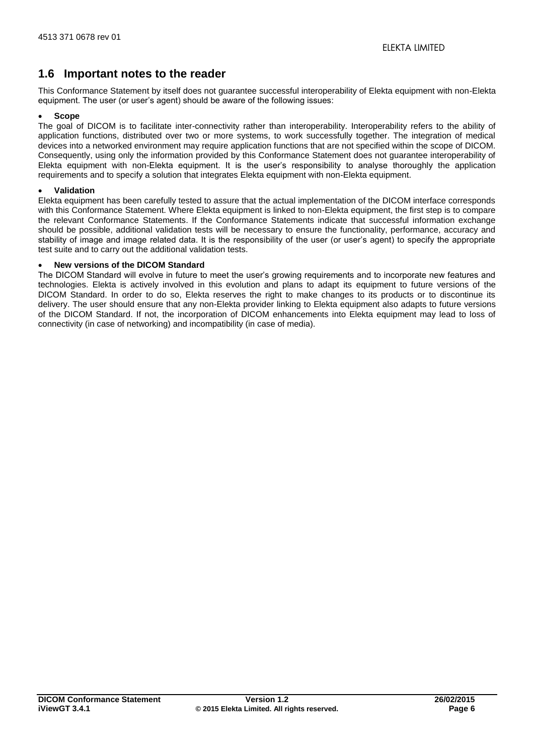## <span id="page-5-0"></span>**1.6 Important notes to the reader**

This Conformance Statement by itself does not guarantee successful interoperability of Elekta equipment with non-Elekta equipment. The user (or user's agent) should be aware of the following issues:

#### **Scope**

The goal of DICOM is to facilitate inter-connectivity rather than interoperability. Interoperability refers to the ability of application functions, distributed over two or more systems, to work successfully together. The integration of medical devices into a networked environment may require application functions that are not specified within the scope of DICOM. Consequently, using only the information provided by this Conformance Statement does not guarantee interoperability of Elekta equipment with non-Elekta equipment. It is the user's responsibility to analyse thoroughly the application requirements and to specify a solution that integrates Elekta equipment with non-Elekta equipment.

#### **Validation**

Elekta equipment has been carefully tested to assure that the actual implementation of the DICOM interface corresponds with this Conformance Statement. Where Elekta equipment is linked to non-Elekta equipment, the first step is to compare the relevant Conformance Statements. If the Conformance Statements indicate that successful information exchange should be possible, additional validation tests will be necessary to ensure the functionality, performance, accuracy and stability of image and image related data. It is the responsibility of the user (or user's agent) to specify the appropriate test suite and to carry out the additional validation tests.

## **New versions of the DICOM Standard**

The DICOM Standard will evolve in future to meet the user's growing requirements and to incorporate new features and technologies. Elekta is actively involved in this evolution and plans to adapt its equipment to future versions of the DICOM Standard. In order to do so, Elekta reserves the right to make changes to its products or to discontinue its delivery. The user should ensure that any non-Elekta provider linking to Elekta equipment also adapts to future versions of the DICOM Standard. If not, the incorporation of DICOM enhancements into Elekta equipment may lead to loss of connectivity (in case of networking) and incompatibility (in case of media).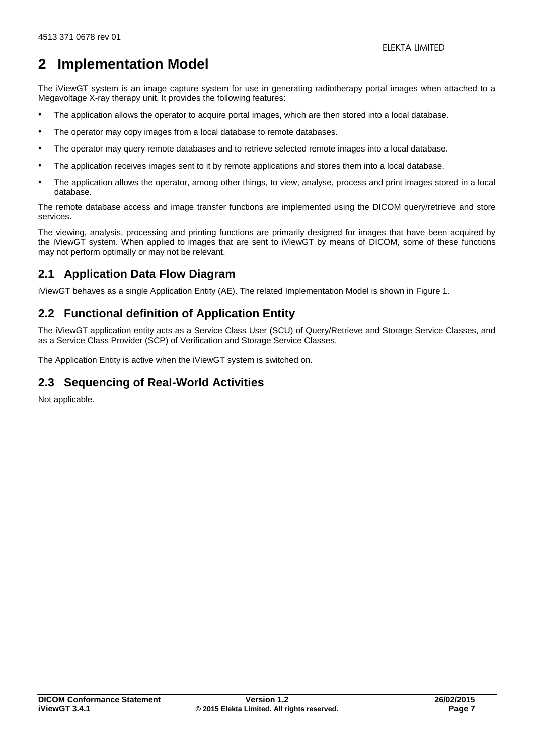## <span id="page-6-0"></span>**2 Implementation Model**

The iViewGT system is an image capture system for use in generating radiotherapy portal images when attached to a Megavoltage X-ray therapy unit. It provides the following features:

- The application allows the operator to acquire portal images, which are then stored into a local database.
- The operator may copy images from a local database to remote databases.
- The operator may query remote databases and to retrieve selected remote images into a local database.
- The application receives images sent to it by remote applications and stores them into a local database.
- The application allows the operator, among other things, to view, analyse, process and print images stored in a local database.

The remote database access and image transfer functions are implemented using the DICOM query/retrieve and store services.

The viewing, analysis, processing and printing functions are primarily designed for images that have been acquired by the iViewGT system. When applied to images that are sent to iViewGT by means of DICOM, some of these functions may not perform optimally or may not be relevant.

## <span id="page-6-1"></span>**2.1 Application Data Flow Diagram**

iViewGT behaves as a single Application Entity (AE). The related Implementation Model is shown in [Figure 1.](#page-7-0)

## <span id="page-6-2"></span>**2.2 Functional definition of Application Entity**

The iViewGT application entity acts as a Service Class User (SCU) of Query/Retrieve and Storage Service Classes, and as a Service Class Provider (SCP) of Verification and Storage Service Classes.

<span id="page-6-3"></span>The Application Entity is active when the iViewGT system is switched on.

## **2.3 Sequencing of Real-World Activities**

Not applicable.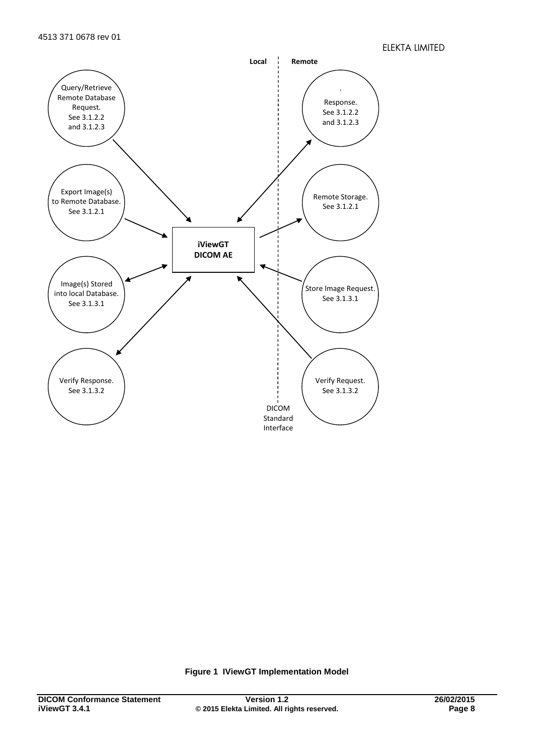

<span id="page-7-0"></span>**Figure 1 IViewGT Implementation Model**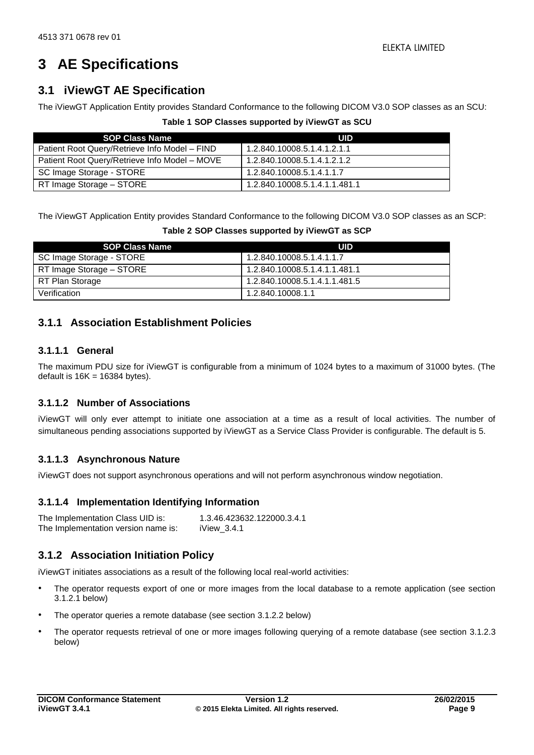# <span id="page-8-0"></span>**3 AE Specifications**

## <span id="page-8-1"></span>**3.1 iViewGT AE Specification**

<span id="page-8-4"></span>The iViewGT Application Entity provides Standard Conformance to the following DICOM V3.0 SOP classes as an SCU:

|  | Table 1 SOP Classes supported by iViewGT as SCU |  |  |
|--|-------------------------------------------------|--|--|
|  |                                                 |  |  |

| <b>SOP Class Name</b>                         | UID                           |
|-----------------------------------------------|-------------------------------|
| Patient Root Query/Retrieve Info Model - FIND | 1.2.840.10008.5.1.4.1.2.1.1   |
| Patient Root Query/Retrieve Info Model - MOVE | 1.2.840.10008.5.1.4.1.2.1.2   |
| SC Image Storage - STORE                      | 1.2.840.10008.5.1.4.1.1.7     |
| RT Image Storage - STORE                      | 1.2.840.10008.5.1.4.1.1.481.1 |

<span id="page-8-5"></span>The iViewGT Application Entity provides Standard Conformance to the following DICOM V3.0 SOP classes as an SCP:

| Table 2 SOP Classes supported by iViewGT as SCP |  |  |  |  |  |  |  |
|-------------------------------------------------|--|--|--|--|--|--|--|
|-------------------------------------------------|--|--|--|--|--|--|--|

| <b>SOP Class Name</b>    | UID                           |
|--------------------------|-------------------------------|
| SC Image Storage - STORE | 1.2.840.10008.5.1.4.1.1.7     |
| RT Image Storage - STORE | 1.2.840.10008.5.1.4.1.1.481.1 |
| RT Plan Storage          | 1.2.840.10008.5.1.4.1.1.481.5 |
| Verification             | 1.2.840.10008.1.1             |

## <span id="page-8-2"></span>**3.1.1 Association Establishment Policies**

## **3.1.1.1 General**

The maximum PDU size for iViewGT is configurable from a minimum of 1024 bytes to a maximum of 31000 bytes. (The default is  $16K = 16384$  bytes).

## **3.1.1.2 Number of Associations**

iViewGT will only ever attempt to initiate one association at a time as a result of local activities. The number of simultaneous pending associations supported by iViewGT as a Service Class Provider is configurable. The default is 5.

## **3.1.1.3 Asynchronous Nature**

iViewGT does not support asynchronous operations and will not perform asynchronous window negotiation.

## **3.1.1.4 Implementation Identifying Information**

| The Implementation Class UID is:    | 1.3.46.423632.122000.3.4.1 |
|-------------------------------------|----------------------------|
| The Implementation version name is: | iView $3.4.1$              |

## <span id="page-8-3"></span>**3.1.2 Association Initiation Policy**

iViewGT initiates associations as a result of the following local real-world activities:

- The operator requests export of one or more images from the local database to a remote application (see section [3.1.2.1](#page-9-1) below)
- The operator queries a remote database (see section [3.1.2.2](#page-10-3) below)
- The operator requests retrieval of one or more images following querying of a remote database (see section [3.1.2.3](#page-11-2) below)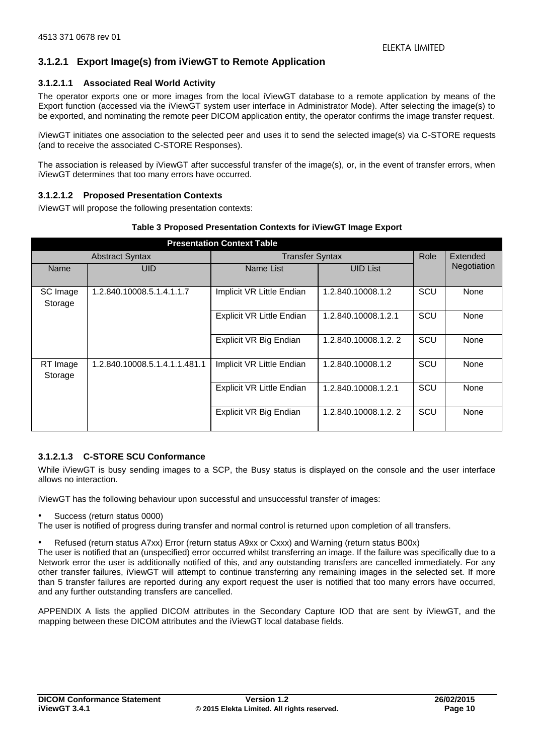## <span id="page-9-1"></span>**3.1.2.1 Export Image(s) from iViewGT to Remote Application**

## **3.1.2.1.1 Associated Real World Activity**

The operator exports one or more images from the local iViewGT database to a remote application by means of the Export function (accessed via the iViewGT system user interface in Administrator Mode). After selecting the image(s) to be exported, and nominating the remote peer DICOM application entity, the operator confirms the image transfer request.

iViewGT initiates one association to the selected peer and uses it to send the selected image(s) via C-STORE requests (and to receive the associated C-STORE Responses).

The association is released by iViewGT after successful transfer of the image(s), or, in the event of transfer errors, when iViewGT determines that too many errors have occurred.

## **3.1.2.1.2 Proposed Presentation Contexts**

iViewGT will propose the following presentation contexts:

## **Table 3 Proposed Presentation Contexts for iViewGT Image Export**

<span id="page-9-0"></span>

| <b>Presentation Context Table</b> |                               |                                  |                     |     |             |
|-----------------------------------|-------------------------------|----------------------------------|---------------------|-----|-------------|
| <b>Abstract Syntax</b>            |                               | <b>Transfer Syntax</b>           |                     |     | Extended    |
| Name                              | <b>UID</b>                    | Name List                        | <b>UID List</b>     |     | Negotiation |
|                                   |                               |                                  |                     |     |             |
| SC Image                          | 1.2.840.10008.5.1.4.1.1.7     | Implicit VR Little Endian        | 1.2.840.10008.1.2   | SCU | None        |
| Storage                           |                               |                                  |                     |     |             |
|                                   |                               | Explicit VR Little Endian        | 1.2.840.10008.1.2.1 | SCU | None        |
|                                   |                               |                                  |                     |     |             |
|                                   |                               | Explicit VR Big Endian           | 1.2.840.10008.1.2.2 | SCU | None        |
|                                   |                               |                                  |                     |     |             |
| RT Image                          | 1.2.840.10008.5.1.4.1.1.481.1 | Implicit VR Little Endian        | 1.2.840.10008.1.2   | SCU | None        |
| Storage                           |                               |                                  |                     |     |             |
|                                   |                               | <b>Explicit VR Little Endian</b> | 1.2.840.10008.1.2.1 | SCU | None        |
|                                   |                               |                                  |                     |     |             |
|                                   |                               | Explicit VR Big Endian           | 1.2.840.10008.1.2.2 | SCU | None        |
|                                   |                               |                                  |                     |     |             |

## **3.1.2.1.3 C-STORE SCU Conformance**

While iViewGT is busy sending images to a SCP, the Busy status is displayed on the console and the user interface allows no interaction.

iViewGT has the following behaviour upon successful and unsuccessful transfer of images:

• Success (return status 0000)

The user is notified of progress during transfer and normal control is returned upon completion of all transfers.

• Refused (return status A7xx) Error (return status A9xx or Cxxx) and Warning (return status B00x)

The user is notified that an (unspecified) error occurred whilst transferring an image. If the failure was specifically due to a Network error the user is additionally notified of this, and any outstanding transfers are cancelled immediately. For any other transfer failures, iViewGT will attempt to continue transferring any remaining images in the selected set. If more than 5 transfer failures are reported during any export request the user is notified that too many errors have occurred, and any further outstanding transfers are cancelled.

[APPENDIX A](#page-19-0) lists the applied DICOM attributes in the Secondary Capture IOD that are sent by iViewGT, and the mapping between these DICOM attributes and the iViewGT local database fields.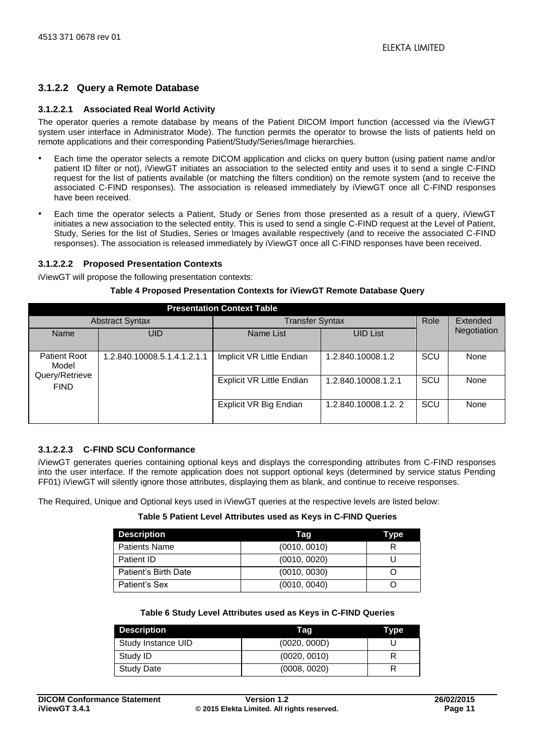## <span id="page-10-3"></span>**3.1.2.2 Query a Remote Database**

## <span id="page-10-4"></span>**3.1.2.2.1 Associated Real World Activity**

The operator queries a remote database by means of the Patient DICOM Import function (accessed via the iViewGT system user interface in Administrator Mode). The function permits the operator to browse the lists of patients held on remote applications and their corresponding Patient/Study/Series/Image hierarchies.

- Each time the operator selects a remote DICOM application and clicks on query button (using patient name and/or patient ID filter or not), iViewGT initiates an association to the selected entity and uses it to send a single C-FIND request for the list of patients available (or matching the filters condition) on the remote system (and to receive the associated C-FIND responses). The association is released immediately by iViewGT once all C-FIND responses have been received.
- Each time the operator selects a Patient, Study or Series from those presented as a result of a query, iViewGT initiates a new association to the selected entity. This is used to send a single C-FIND request at the Level of Patient, Study, Series for the list of Studies, Series or Images available respectively (and to receive the associated C-FIND responses). The association is released immediately by iViewGT once all C-FIND responses have been received.

## **3.1.2.2.2 Proposed Presentation Contexts**

<span id="page-10-0"></span>iViewGT will propose the following presentation contexts:

#### **Table 4 Proposed Presentation Contexts for iViewGT Remote Database Query**

|                                                |                             | <b>Presentation Context Table</b> |                        |     |             |
|------------------------------------------------|-----------------------------|-----------------------------------|------------------------|-----|-------------|
| <b>Abstract Syntax</b>                         |                             |                                   | <b>Transfer Syntax</b> |     | Extended    |
| Name                                           | UID                         | Name List                         | <b>UID List</b>        |     | Negotiation |
| <b>Patient Root</b><br>Model<br>Query/Retrieve | 1.2.840.10008.5.1.4.1.2.1.1 | Implicit VR Little Endian         | 1.2.840.10008.1.2      | SCU | None        |
| <b>FIND</b>                                    |                             | <b>Explicit VR Little Endian</b>  | 1.2.840.10008.1.2.1    | SCU | None        |
|                                                |                             | Explicit VR Big Endian            | 1.2.840.10008.1.2.2    | SCU | None        |

## **3.1.2.2.3 C-FIND SCU Conformance**

iViewGT generates queries containing optional keys and displays the corresponding attributes from C-FIND responses into the user interface. If the remote application does not support optional keys (determined by service status Pending FF01) iViewGT will silently ignore those attributes, displaying them as blank, and continue to receive responses.

<span id="page-10-1"></span>The Required, Unique and Optional keys used in iViewGT queries at the respective levels are listed below:

#### **Table 5 Patient Level Attributes used as Keys in C-FIND Queries**

| <b>Description</b>   | Taq          | Type |
|----------------------|--------------|------|
| <b>Patients Name</b> | (0010, 0010) |      |
| Patient ID           | (0010, 0020) |      |
| Patient's Birth Date | (0010, 0030) |      |
| Patient's Sex        | (0010, 0040) |      |

#### **Table 6 Study Level Attributes used as Keys in C-FIND Queries**

<span id="page-10-2"></span>

| <b>Description</b> | Taq          | Type |
|--------------------|--------------|------|
| Study Instance UID | (0020, 000D) |      |
| Study ID           | (0020, 0010) |      |
| <b>Study Date</b>  | (0008, 0020) |      |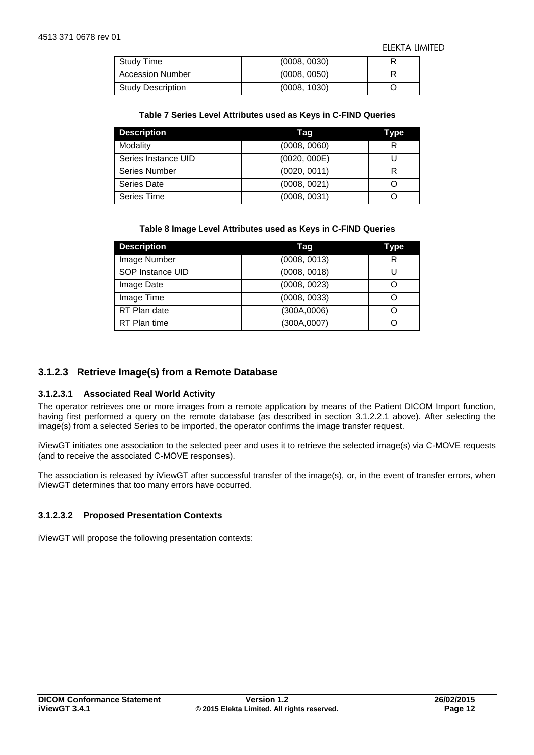| Study Time               | (0008, 0030) |  |
|--------------------------|--------------|--|
| <b>Accession Number</b>  | (0008, 0050) |  |
| <b>Study Description</b> | (0008, 1030) |  |

#### **Table 7 Series Level Attributes used as Keys in C-FIND Queries**

<span id="page-11-0"></span>

| <b>Description</b>  | Taq          | Type |
|---------------------|--------------|------|
| Modality            | (0008, 0060) | R    |
| Series Instance UID | (0020, 000E) |      |
| Series Number       | (0020, 0011) |      |
| Series Date         | (0008, 0021) |      |
| Series Time         | (0008, 0031) |      |

#### **Table 8 Image Level Attributes used as Keys in C-FIND Queries**

<span id="page-11-1"></span>

| <b>Description</b> | Taq          | Type |
|--------------------|--------------|------|
| Image Number       | (0008, 0013) | R    |
| SOP Instance UID   | (0008, 0018) |      |
| Image Date         | (0008, 0023) |      |
| Image Time         | (0008, 0033) |      |
| RT Plan date       | (300A,0006)  |      |
| RT Plan time       | (300A,0007)  |      |

## <span id="page-11-2"></span>**3.1.2.3 Retrieve Image(s) from a Remote Database**

## **3.1.2.3.1 Associated Real World Activity**

The operator retrieves one or more images from a remote application by means of the Patient DICOM Import function, having first performed a query on the remote database (as described in section [3.1.2.2.1](#page-10-4) above). After selecting the image(s) from a selected Series to be imported, the operator confirms the image transfer request.

iViewGT initiates one association to the selected peer and uses it to retrieve the selected image(s) via C-MOVE requests (and to receive the associated C-MOVE responses).

The association is released by iViewGT after successful transfer of the image(s), or, in the event of transfer errors, when iViewGT determines that too many errors have occurred.

## **3.1.2.3.2 Proposed Presentation Contexts**

iViewGT will propose the following presentation contexts: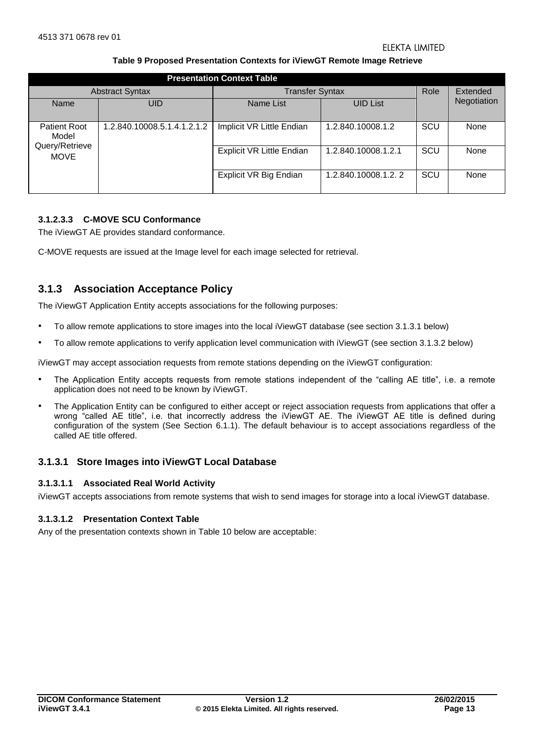#### **Table 9 Proposed Presentation Contexts for iViewGT Remote Image Retrieve**

<span id="page-12-1"></span>

|                                                | <b>Presentation Context Table</b> |                                  |                     |      |             |  |
|------------------------------------------------|-----------------------------------|----------------------------------|---------------------|------|-------------|--|
|                                                | <b>Abstract Syntax</b>            | <b>Transfer Syntax</b>           |                     | Role | Extended    |  |
| Name                                           | UID                               | Name List                        | <b>UID List</b>     |      | Negotiation |  |
| <b>Patient Root</b><br>Model<br>Query/Retrieve | 1.2.840.10008.5.1.4.1.2.1.2       | Implicit VR Little Endian        | 1.2.840.10008.1.2   | SCU  | None        |  |
| <b>MOVE</b>                                    |                                   | <b>Explicit VR Little Endian</b> | 1.2.840.10008.1.2.1 | SCU  | None        |  |
|                                                |                                   | Explicit VR Big Endian           | 1.2.840.10008.1.2.2 | SCU  | None        |  |

## **3.1.2.3.3 C-MOVE SCU Conformance**

The iViewGT AE provides standard conformance.

C-MOVE requests are issued at the Image level for each image selected for retrieval.

## <span id="page-12-0"></span>**3.1.3 Association Acceptance Policy**

The iViewGT Application Entity accepts associations for the following purposes:

- To allow remote applications to store images into the local iViewGT database (see section 3.1.3.1 below)
- To allow remote applications to verify application level communication with iViewGT (see section 3.1.3.2 below)

iViewGT may accept association requests from remote stations depending on the iViewGT configuration:

- The Application Entity accepts requests from remote stations independent of the "calling AE title", i.e. a remote application does not need to be known by iViewGT.
- The Application Entity can be configured to either accept or reject association requests from applications that offer a wrong "called AE title", i.e. that incorrectly address the iViewGT AE. The iViewGT AE title is defined during configuration of the system (See Section [6.1.1\)](#page-17-2). The default behaviour is to accept associations regardless of the called AE title offered.

## <span id="page-12-2"></span>**3.1.3.1 Store Images into iViewGT Local Database**

#### **3.1.3.1.1 Associated Real World Activity**

iViewGT accepts associations from remote systems that wish to send images for storage into a local iViewGT database.

#### **3.1.3.1.2 Presentation Context Table**

Any of the presentation contexts shown in [Table 10](#page-13-0) below are acceptable: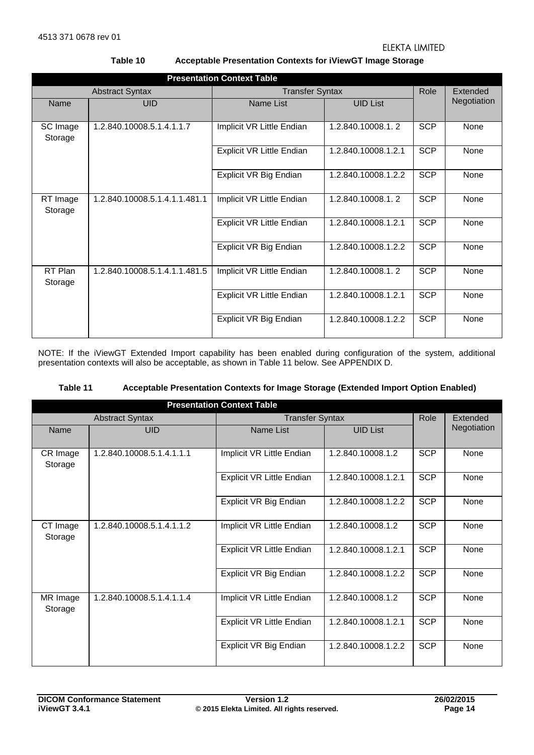**Table 10 Acceptable Presentation Contexts for iViewGT Image Storage** 

<span id="page-13-0"></span>

|                        | <b>Presentation Context Table</b> |                           |                     |            |                 |  |  |
|------------------------|-----------------------------------|---------------------------|---------------------|------------|-----------------|--|--|
| <b>Abstract Syntax</b> |                                   | <b>Transfer Syntax</b>    |                     | Role       | <b>Extended</b> |  |  |
| Name                   | <b>UID</b>                        | Name List                 | <b>UID List</b>     |            | Negotiation     |  |  |
| SC Image<br>Storage    | 1.2.840.10008.5.1.4.1.1.7         | Implicit VR Little Endian | 1.2.840.10008.1.2   | <b>SCP</b> | None            |  |  |
|                        |                                   | Explicit VR Little Endian | 1.2.840.10008.1.2.1 | <b>SCP</b> | None            |  |  |
|                        |                                   | Explicit VR Big Endian    | 1.2.840.10008.1.2.2 | <b>SCP</b> | None            |  |  |
| RT Image<br>Storage    | 1.2.840.10008.5.1.4.1.1.481.1     | Implicit VR Little Endian | 1.2.840.10008.1.2   | <b>SCP</b> | None            |  |  |
|                        |                                   | Explicit VR Little Endian | 1.2.840.10008.1.2.1 | <b>SCP</b> | None            |  |  |
|                        |                                   | Explicit VR Big Endian    | 1.2.840.10008.1.2.2 | <b>SCP</b> | None            |  |  |
| RT Plan<br>Storage     | 1.2.840.10008.5.1.4.1.1.481.5     | Implicit VR Little Endian | 1.2.840.10008.1.2   | <b>SCP</b> | None            |  |  |
|                        |                                   | Explicit VR Little Endian | 1.2.840.10008.1.2.1 | <b>SCP</b> | None            |  |  |
|                        |                                   | Explicit VR Big Endian    | 1.2.840.10008.1.2.2 | <b>SCP</b> | None            |  |  |

NOTE: If the iViewGT Extended Import capability has been enabled during configuration of the system, additional presentation contexts will also be acceptable, as shown in [Table 11](#page-13-1) below. See [APPENDIX D.](#page-39-0)

| Table 11 | Acceptable Presentation Contexts for Image Storage (Extended Import Option Enabled) |
|----------|-------------------------------------------------------------------------------------|
|----------|-------------------------------------------------------------------------------------|

<span id="page-13-1"></span>

| <b>Presentation Context Table</b> |                           |                           |                     |            |             |  |
|-----------------------------------|---------------------------|---------------------------|---------------------|------------|-------------|--|
|                                   | <b>Abstract Syntax</b>    | <b>Transfer Syntax</b>    |                     | Role       | Extended    |  |
| Name                              | <b>UID</b>                | Name List                 | <b>UID List</b>     |            | Negotiation |  |
| CR Image<br>Storage               | 1.2.840.10008.5.1.4.1.1.1 | Implicit VR Little Endian | 1.2.840.10008.1.2   | <b>SCP</b> | None        |  |
|                                   |                           | Explicit VR Little Endian | 1.2.840.10008.1.2.1 | <b>SCP</b> | None        |  |
|                                   |                           | Explicit VR Big Endian    | 1.2.840.10008.1.2.2 | <b>SCP</b> | None        |  |
| CT Image<br>Storage               | 1.2.840.10008.5.1.4.1.1.2 | Implicit VR Little Endian | 1.2.840.10008.1.2   | <b>SCP</b> | None        |  |
|                                   |                           | Explicit VR Little Endian | 1.2.840.10008.1.2.1 | <b>SCP</b> | None        |  |
|                                   |                           | Explicit VR Big Endian    | 1.2.840.10008.1.2.2 | <b>SCP</b> | None        |  |
| MR Image<br>Storage               | 1.2.840.10008.5.1.4.1.1.4 | Implicit VR Little Endian | 1.2.840.10008.1.2   | <b>SCP</b> | None        |  |
|                                   |                           | Explicit VR Little Endian | 1.2.840.10008.1.2.1 | <b>SCP</b> | None        |  |
|                                   |                           | Explicit VR Big Endian    | 1.2.840.10008.1.2.2 | <b>SCP</b> | None        |  |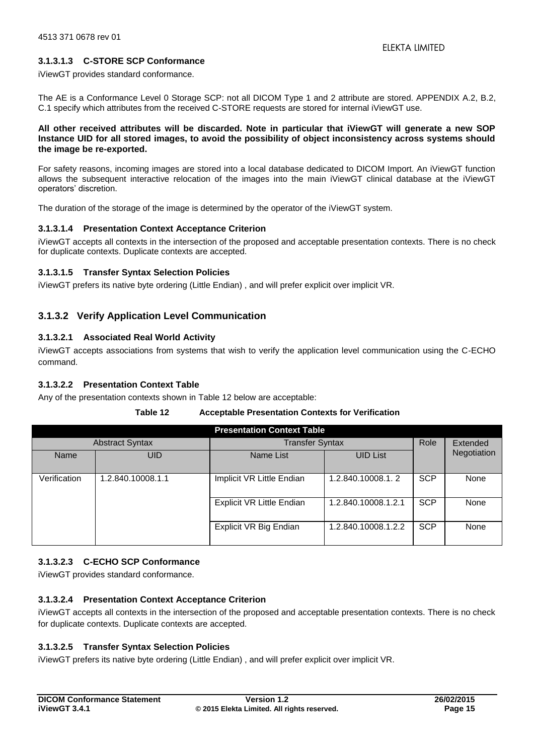## **3.1.3.1.3 C-STORE SCP Conformance**

iViewGT provides standard conformance.

The AE is a Conformance Level 0 Storage SCP: not all DICOM Type 1 and 2 attribute are stored. APPENDIX [A.2,](#page-24-0) [B.2,](#page-33-0) [C.1](#page-37-1) specify which attributes from the received C-STORE requests are stored for internal iViewGT use.

#### **All other received attributes will be discarded. Note in particular that iViewGT will generate a new SOP Instance UID for all stored images, to avoid the possibility of object inconsistency across systems should the image be re-exported.**

For safety reasons, incoming images are stored into a local database dedicated to DICOM Import. An iViewGT function allows the subsequent interactive relocation of the images into the main iViewGT clinical database at the iViewGT operators' discretion.

The duration of the storage of the image is determined by the operator of the iViewGT system.

## **3.1.3.1.4 Presentation Context Acceptance Criterion**

iViewGT accepts all contexts in the intersection of the proposed and acceptable presentation contexts. There is no check for duplicate contexts. Duplicate contexts are accepted.

## **3.1.3.1.5 Transfer Syntax Selection Policies**

<span id="page-14-1"></span>iViewGT prefers its native byte ordering (Little Endian) , and will prefer explicit over implicit VR.

## **3.1.3.2 Verify Application Level Communication**

## **3.1.3.2.1 Associated Real World Activity**

iViewGT accepts associations from systems that wish to verify the application level communication using the C-ECHO command.

## **3.1.3.2.2 Presentation Context Table**

<span id="page-14-0"></span>Any of the presentation contexts shown in [Table 12](#page-14-0) below are acceptable:

#### **Table 12 Acceptable Presentation Contexts for Verification**

| <b>Presentation Context Table</b> |                        |                           |                     |            |             |  |
|-----------------------------------|------------------------|---------------------------|---------------------|------------|-------------|--|
|                                   | <b>Abstract Syntax</b> | <b>Transfer Syntax</b>    |                     | Role       | Extended    |  |
| Name                              | UID                    | Name List                 | <b>UID List</b>     |            | Negotiation |  |
| Verification                      | 1.2.840.10008.1.1      | Implicit VR Little Endian | 1.2.840.10008.1.2   | <b>SCP</b> | None        |  |
|                                   |                        | Explicit VR Little Endian | 1.2.840.10008.1.2.1 | <b>SCP</b> | None        |  |
|                                   |                        | Explicit VR Big Endian    | 1.2.840.10008.1.2.2 | <b>SCP</b> | None        |  |

## **3.1.3.2.3 C-ECHO SCP Conformance**

iViewGT provides standard conformance.

## **3.1.3.2.4 Presentation Context Acceptance Criterion**

iViewGT accepts all contexts in the intersection of the proposed and acceptable presentation contexts. There is no check for duplicate contexts. Duplicate contexts are accepted.

## **3.1.3.2.5 Transfer Syntax Selection Policies**

iViewGT prefers its native byte ordering (Little Endian) , and will prefer explicit over implicit VR.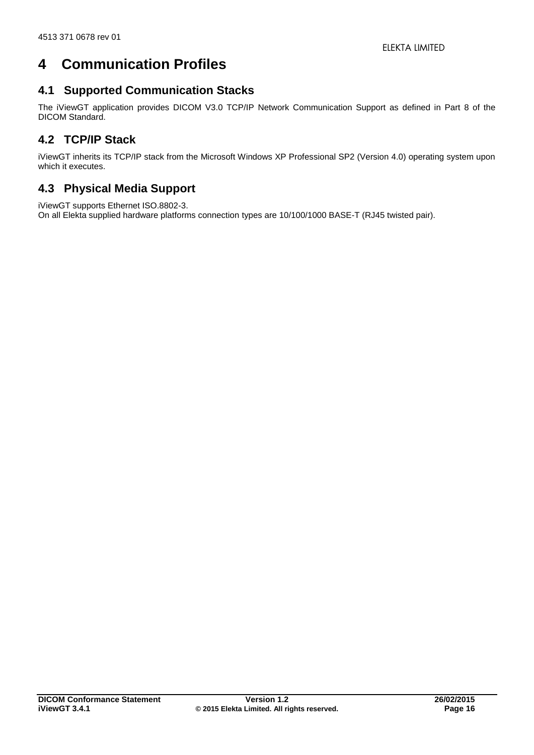# <span id="page-15-0"></span>**4 Communication Profiles**

## <span id="page-15-1"></span>**4.1 Supported Communication Stacks**

The iViewGT application provides DICOM V3.0 TCP/IP Network Communication Support as defined in Part 8 of the DICOM Standard.

## <span id="page-15-2"></span>**4.2 TCP/IP Stack**

iViewGT inherits its TCP/IP stack from the Microsoft Windows XP Professional SP2 (Version 4.0) operating system upon which it executes.

## <span id="page-15-3"></span>**4.3 Physical Media Support**

iViewGT supports Ethernet ISO.8802-3.

On all Elekta supplied hardware platforms connection types are 10/100/1000 BASE-T (RJ45 twisted pair).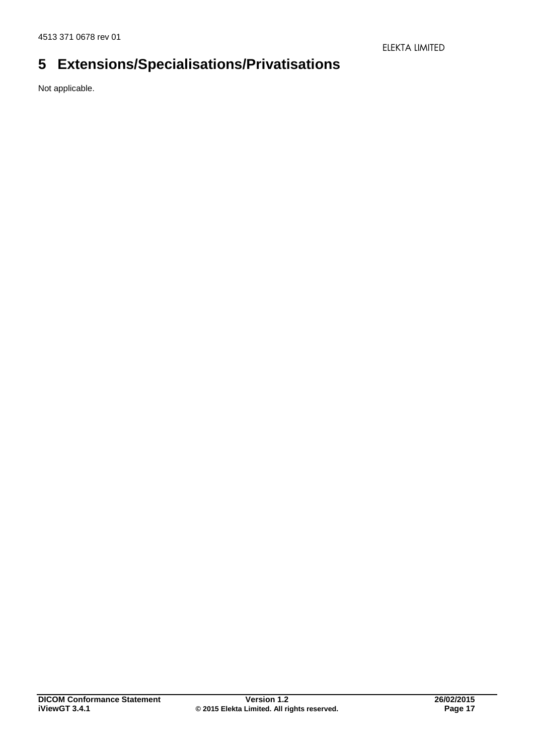# <span id="page-16-0"></span>**5 Extensions/Specialisations/Privatisations**

Not applicable.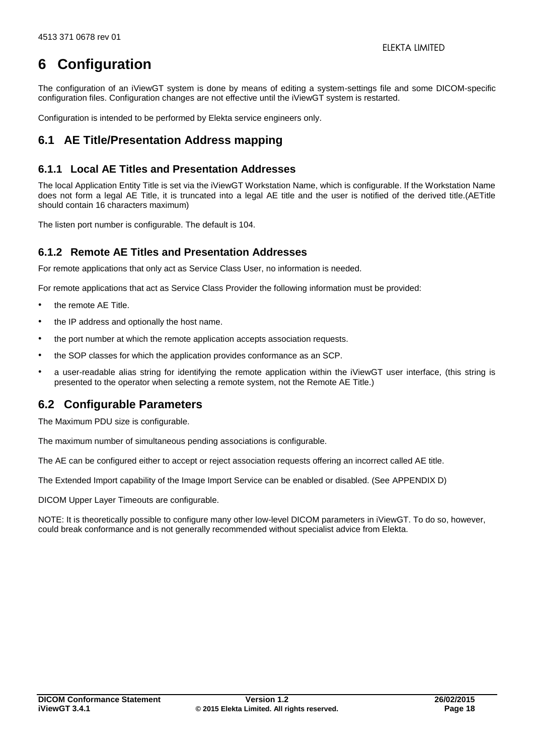# <span id="page-17-0"></span>**6 Configuration**

The configuration of an iViewGT system is done by means of editing a system-settings file and some DICOM-specific configuration files. Configuration changes are not effective until the iViewGT system is restarted.

Configuration is intended to be performed by Elekta service engineers only.

## <span id="page-17-1"></span>**6.1 AE Title/Presentation Address mapping**

## <span id="page-17-2"></span>**6.1.1 Local AE Titles and Presentation Addresses**

The local Application Entity Title is set via the iViewGT Workstation Name, which is configurable. If the Workstation Name does not form a legal AE Title, it is truncated into a legal AE title and the user is notified of the derived title.(AETitle should contain 16 characters maximum)

The listen port number is configurable. The default is 104.

## <span id="page-17-3"></span>**6.1.2 Remote AE Titles and Presentation Addresses**

For remote applications that only act as Service Class User, no information is needed.

For remote applications that act as Service Class Provider the following information must be provided:

- the remote AE Title.
- the IP address and optionally the host name.
- the port number at which the remote application accepts association requests.
- the SOP classes for which the application provides conformance as an SCP.
- a user-readable alias string for identifying the remote application within the iViewGT user interface, (this string is presented to the operator when selecting a remote system, not the Remote AE Title.)

## <span id="page-17-4"></span>**6.2 Configurable Parameters**

The Maximum PDU size is configurable.

The maximum number of simultaneous pending associations is configurable.

The AE can be configured either to accept or reject association requests offering an incorrect called AE title.

The Extended Import capability of the Image Import Service can be enabled or disabled. (See [APPENDIX D\)](#page-39-0)

DICOM Upper Layer Timeouts are configurable.

NOTE: It is theoretically possible to configure many other low-level DICOM parameters in iViewGT. To do so, however, could break conformance and is not generally recommended without specialist advice from Elekta.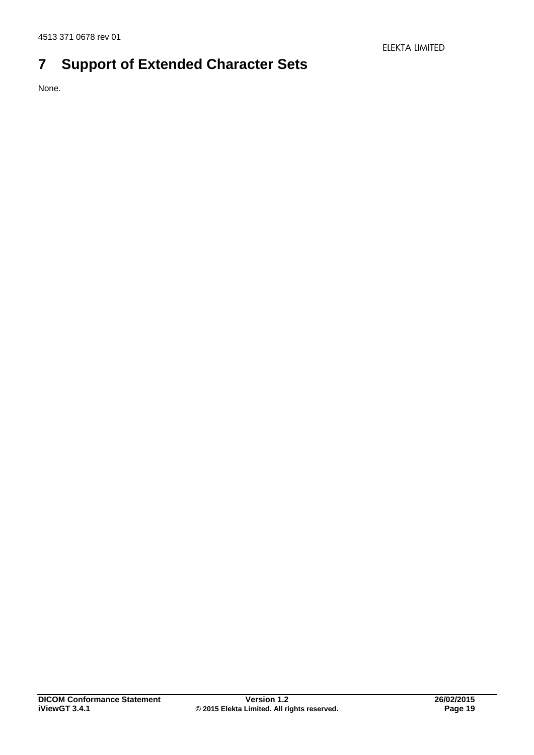# <span id="page-18-0"></span>**7 Support of Extended Character Sets**

None.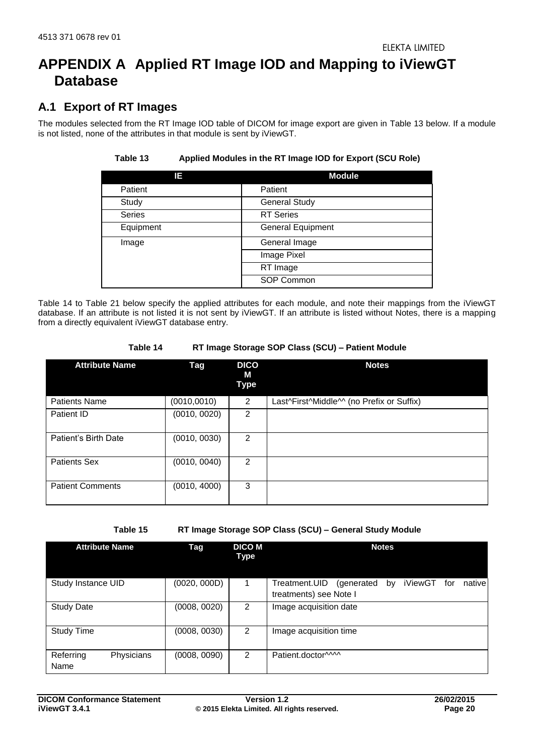## <span id="page-19-0"></span>**APPENDIX A Applied RT Image IOD and Mapping to iViewGT Database**

## <span id="page-19-1"></span>**A.1 Export of RT Images**

<span id="page-19-2"></span>The modules selected from the RT Image IOD table of DICOM for image export are given in [Table 13](#page-19-2) below. If a module is not listed, none of the attributes in that module is sent by iViewGT.

| IΕ            | <b>Module</b>            |
|---------------|--------------------------|
| Patient       | Patient                  |
| Study         | <b>General Study</b>     |
| <b>Series</b> | <b>RT</b> Series         |
| Equipment     | <b>General Equipment</b> |
| Image         | General Image            |
|               | Image Pixel              |
|               | RT Image                 |
|               | SOP Common               |

## **Table 13 Applied Modules in the RT Image IOD for Export (SCU Role)**

[Table 14](#page-19-3) to [Table 21](#page-23-0) below specify the applied attributes for each module, and note their mappings from the iViewGT database. If an attribute is not listed it is not sent by iViewGT. If an attribute is listed without Notes, there is a mapping from a directly equivalent iViewGT database entry.

### **Table 14 RT Image Storage SOP Class (SCU) – Patient Module**

<span id="page-19-3"></span>

| <b>Attribute Name</b>   | <b>Tag</b>   | <b>DICO</b><br>м<br>Type | <b>Notes</b>                              |
|-------------------------|--------------|--------------------------|-------------------------------------------|
| <b>Patients Name</b>    | (0010, 0010) | 2                        | Last^First^Middle^^ (no Prefix or Suffix) |
| Patient ID              | (0010, 0020) | 2                        |                                           |
| Patient's Birth Date    | (0010, 0030) | 2                        |                                           |
| <b>Patients Sex</b>     | (0010, 0040) | 2                        |                                           |
| <b>Patient Comments</b> | (0010, 4000) | 3                        |                                           |

**Table 15 RT Image Storage SOP Class (SCU) – General Study Module** 

<span id="page-19-4"></span>

| <b>Attribute Name</b>           | Tag          | <b>DICO M</b><br>Type | <b>Notes</b>                                                                            |
|---------------------------------|--------------|-----------------------|-----------------------------------------------------------------------------------------|
| Study Instance UID              | (0020, 000D) | 1                     | iViewGT<br>Treatment.UID<br>native<br>(generated<br>for<br>by<br>treatments) see Note I |
| <b>Study Date</b>               | (0008, 0020) | $\overline{2}$        | Image acquisition date                                                                  |
| <b>Study Time</b>               | (0008, 0030) | $\overline{2}$        | Image acquisition time                                                                  |
| Physicians<br>Referring<br>Name | (0008, 0090) | 2                     | Patient.doctor^^^^                                                                      |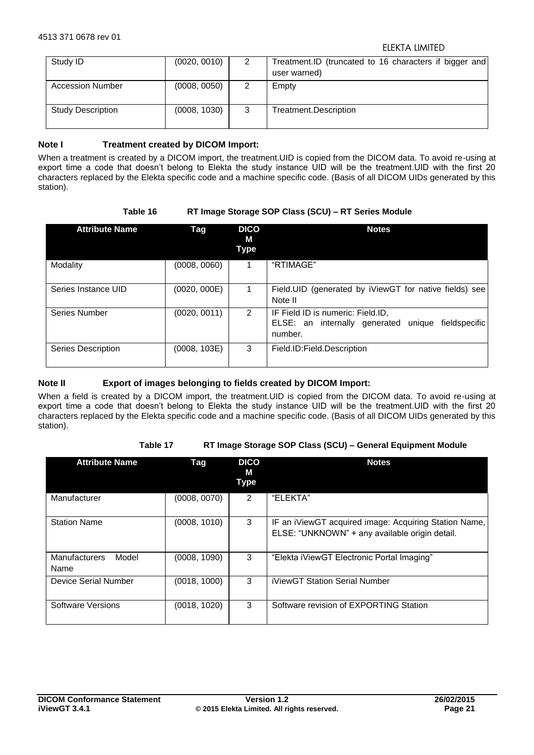| Study ID                 | (0020, 0010) | 2 | Treatment.ID (truncated to 16 characters if bigger and<br>user warned) |
|--------------------------|--------------|---|------------------------------------------------------------------------|
| <b>Accession Number</b>  | (0008, 0050) | 2 | Empty                                                                  |
| <b>Study Description</b> | (0008, 1030) | 3 | Treatment.Description                                                  |

## Note I Treatment created by DICOM Import:

When a treatment is created by a DICOM import, the treatment.UID is copied from the DICOM data. To avoid re-using at export time a code that doesn't belong to Elekta the study instance UID will be the treatment.UID with the first 20 characters replaced by the Elekta specific code and a machine specific code. (Basis of all DICOM UIDs generated by this station).

## **Table 16 RT Image Storage SOP Class (SCU) – RT Series Module**

<span id="page-20-0"></span>

| <b>Attribute Name</b> | Tag          | <b>DICO</b><br>М<br><b>Type</b> | <b>Notes</b>                                                                                             |
|-----------------------|--------------|---------------------------------|----------------------------------------------------------------------------------------------------------|
| Modality              | (0008, 0060) |                                 | "RTIMAGE"                                                                                                |
| Series Instance UID   | (0020, 000E) |                                 | Field.UID (generated by iViewGT for native fields) see<br>Note II                                        |
| <b>Series Number</b>  | (0020, 0011) | 2                               | IF Field ID is numeric: Field.ID,<br>unique<br>fieldspecific<br>ELSE: an internally generated<br>number. |
| Series Description    | (0008, 103E) | 3                               | Field.ID:Field.Description                                                                               |

## **Note II Export of images belonging to fields created by DICOM Import:**

When a field is created by a DICOM import, the treatment.UID is copied from the DICOM data. To avoid re-using at export time a code that doesn't belong to Elekta the study instance UID will be the treatment.UID with the first 20 characters replaced by the Elekta specific code and a machine specific code. (Basis of all DICOM UIDs generated by this station).

## **Table 17 RT Image Storage SOP Class (SCU) – General Equipment Module**

<span id="page-20-1"></span>

| <b>Attribute Name</b>                 | Tag          | <b>DICO</b><br>М<br>Type | <b>Notes</b>                                                                                            |
|---------------------------------------|--------------|--------------------------|---------------------------------------------------------------------------------------------------------|
| Manufacturer                          | (0008, 0070) | 2                        | "ELEKTA"                                                                                                |
| <b>Station Name</b>                   | (0008, 1010) | 3                        | IF an iViewGT acquired image: Acquiring Station Name,<br>ELSE: "UNKNOWN" + any available origin detail. |
| <b>Manufacturers</b><br>Model<br>Name | (0008, 1090) | 3                        | "Elekta iViewGT Electronic Portal Imaging"                                                              |
| Device Serial Number                  | (0018, 1000) | 3                        | iViewGT Station Serial Number                                                                           |
| Software Versions                     | (0018, 1020) | 3                        | Software revision of EXPORTING Station                                                                  |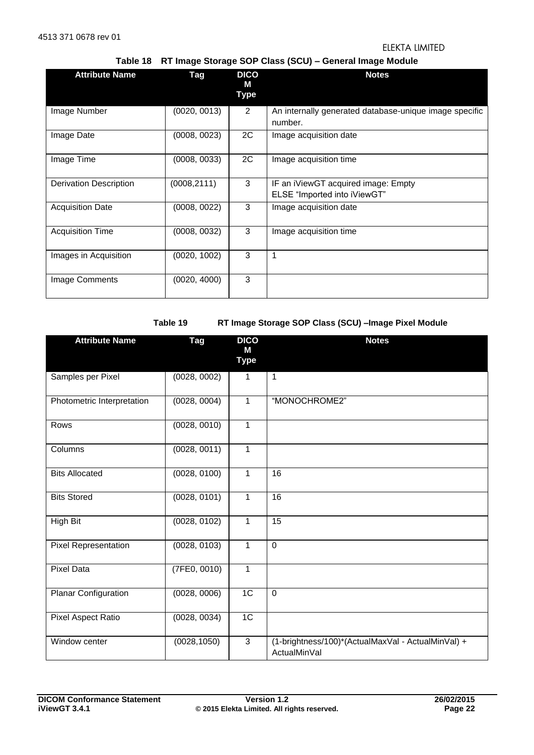**Table 18 RT Image Storage SOP Class (SCU) – General Image Module**

<span id="page-21-0"></span>

| <b>Attribute Name</b>         | Tag          | <b>DICO</b><br>м<br><b>Type</b> | <b>Notes</b>                                                        |
|-------------------------------|--------------|---------------------------------|---------------------------------------------------------------------|
| Image Number                  | (0020, 0013) | $\overline{2}$                  | An internally generated database-unique image specific<br>number.   |
| Image Date                    | (0008, 0023) | 2C                              | Image acquisition date                                              |
| Image Time                    | (0008, 0033) | 2C                              | Image acquisition time                                              |
| <b>Derivation Description</b> | (0008, 2111) | 3                               | IF an iViewGT acquired image: Empty<br>ELSE "Imported into iViewGT" |
| <b>Acquisition Date</b>       | (0008, 0022) | 3                               | Image acquisition date                                              |
| <b>Acquisition Time</b>       | (0008, 0032) | 3                               | Image acquisition time                                              |
| Images in Acquisition         | (0020, 1002) | 3                               | 1                                                                   |
| Image Comments                | (0020, 4000) | 3                               |                                                                     |

**Table 19 RT Image Storage SOP Class (SCU) –Image Pixel Module** 

<span id="page-21-1"></span>

| <b>Attribute Name</b>       | Tag          | <b>DICO</b><br>М | <b>Notes</b>                                                       |
|-----------------------------|--------------|------------------|--------------------------------------------------------------------|
|                             |              | <b>Type</b>      |                                                                    |
| Samples per Pixel           | (0028, 0002) | 1                | 1                                                                  |
| Photometric Interpretation  | (0028, 0004) | 1                | "MONOCHROME2"                                                      |
| Rows                        | (0028, 0010) | $\mathbf{1}$     |                                                                    |
| Columns                     | (0028, 0011) | 1                |                                                                    |
| <b>Bits Allocated</b>       | (0028, 0100) | $\mathbf{1}$     | 16                                                                 |
| <b>Bits Stored</b>          | (0028, 0101) | $\mathbf{1}$     | 16                                                                 |
| <b>High Bit</b>             | (0028, 0102) | $\mathbf{1}$     | $\overline{15}$                                                    |
| <b>Pixel Representation</b> | (0028, 0103) | $\mathbf{1}$     | $\mathbf 0$                                                        |
| <b>Pixel Data</b>           | (7FE0, 0010) | $\overline{1}$   |                                                                    |
| Planar Configuration        | (0028, 0006) | 1 <sup>C</sup>   | $\mathbf 0$                                                        |
| Pixel Aspect Ratio          | (0028, 0034) | 1C               |                                                                    |
| Window center               | (0028, 1050) | $\overline{3}$   | (1-brightness/100)*(ActualMaxVal - ActualMinVal) +<br>ActualMinVal |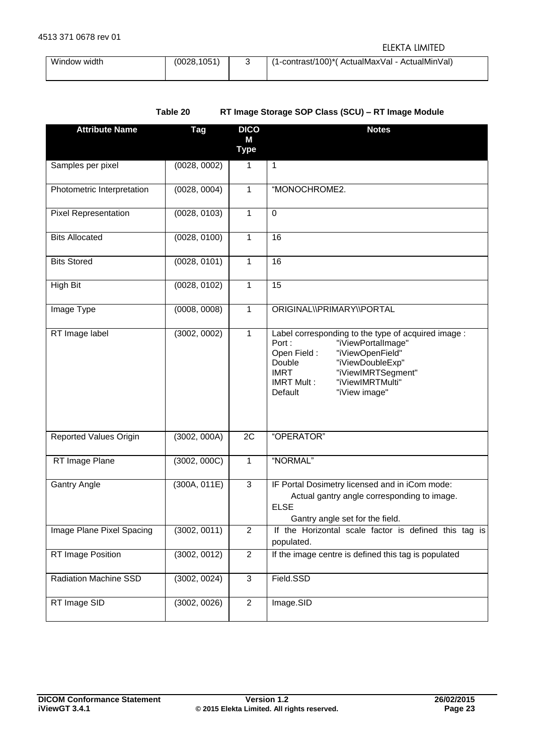| Window width | (0028.1051) | (1-contrast/100)*(ActualMaxVal - ActualMinVal) |
|--------------|-------------|------------------------------------------------|
|              |             |                                                |

<span id="page-22-0"></span>

| <b>Attribute Name</b>       | <b>Tag</b>   | <b>DICO</b><br>M<br><b>Type</b> | <b>Notes</b>                                                                                                                                                                                                                                                  |
|-----------------------------|--------------|---------------------------------|---------------------------------------------------------------------------------------------------------------------------------------------------------------------------------------------------------------------------------------------------------------|
| Samples per pixel           | (0028, 0002) | 1                               | $\mathbf{1}$                                                                                                                                                                                                                                                  |
| Photometric Interpretation  | (0028, 0004) | 1                               | "MONOCHROME2.                                                                                                                                                                                                                                                 |
| <b>Pixel Representation</b> | (0028, 0103) | 1                               | $\mathbf 0$                                                                                                                                                                                                                                                   |
| <b>Bits Allocated</b>       | (0028, 0100) | 1                               | 16                                                                                                                                                                                                                                                            |
| <b>Bits Stored</b>          | (0028, 0101) | 1                               | 16                                                                                                                                                                                                                                                            |
| <b>High Bit</b>             | (0028, 0102) | 1                               | 15                                                                                                                                                                                                                                                            |
| Image Type                  | (0008, 0008) | 1                               | ORIGINAL\\PRIMARY\\PORTAL                                                                                                                                                                                                                                     |
| RT Image label              | (3002, 0002) | 1                               | Label corresponding to the type of acquired image :<br>Port:<br>"iViewPortalImage"<br>"iViewOpenField"<br>Open Field:<br>"iViewDoubleExp"<br>Double<br><b>IMRT</b><br>"iViewIMRTSegment"<br>"iViewIMRTMulti"<br><b>IMRT Mult:</b><br>Default<br>"iView image" |
| Reported Values Origin      | (3002, 000A) | 2C                              | "OPERATOR"                                                                                                                                                                                                                                                    |
| RT Image Plane              | (3002, 000C) | 1                               | "NORMAL"                                                                                                                                                                                                                                                      |
| <b>Gantry Angle</b>         | (300A, 011E) | $\mathbf{3}$                    | IF Portal Dosimetry licensed and in iCom mode:<br>Actual gantry angle corresponding to image.<br><b>ELSE</b><br>Gantry angle set for the field.                                                                                                               |
| Image Plane Pixel Spacing   | (3002, 0011) | $\overline{2}$                  | If the Horizontal scale factor is defined this tag is<br>populated.                                                                                                                                                                                           |
| RT Image Position           | (3002, 0012) | $\overline{2}$                  | If the image centre is defined this tag is populated                                                                                                                                                                                                          |
| Radiation Machine SSD       | (3002, 0024) | $\mathbf{3}$                    | Field.SSD                                                                                                                                                                                                                                                     |
| RT Image SID                | (3002, 0026) | $\overline{2}$                  | Image.SID                                                                                                                                                                                                                                                     |

| Table 20 | RT Image Storage SOP Class (SCU) - RT Image Module |  |
|----------|----------------------------------------------------|--|
|----------|----------------------------------------------------|--|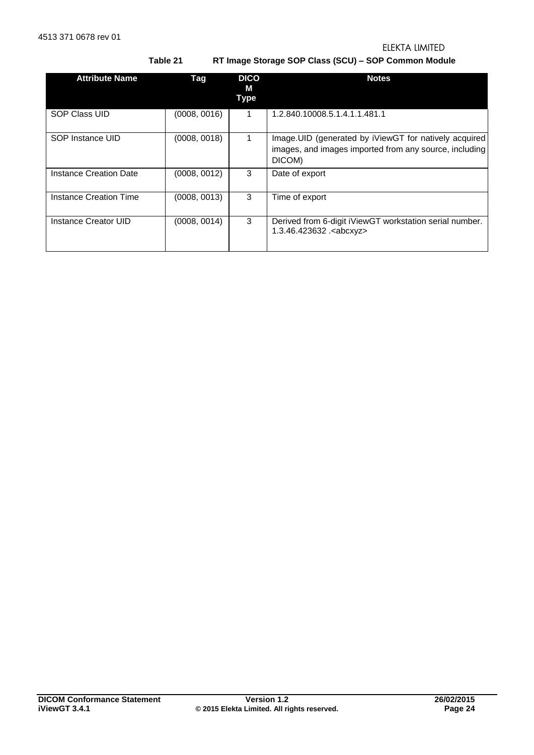**Table 21 RT Image Storage SOP Class (SCU) – SOP Common Module** 

<span id="page-23-0"></span>

| <b>Attribute Name</b>  | Tag          | <b>DICO</b><br>М<br><b>Type</b> | <b>Notes</b>                                                                                                                |
|------------------------|--------------|---------------------------------|-----------------------------------------------------------------------------------------------------------------------------|
| <b>SOP Class UID</b>   | (0008, 0016) | 1                               | 1.2.840.10008.5.1.4.1.1.481.1                                                                                               |
| SOP Instance UID       | (0008, 0018) |                                 | Image. UID (generated by iViewGT for natively acquired)<br>images, and images imported from any source, including<br>DICOM) |
| Instance Creation Date | (0008, 0012) | 3                               | Date of export                                                                                                              |
| Instance Creation Time | (0008, 0013) | 3                               | Time of export                                                                                                              |
| Instance Creator UID   | (0008, 0014) | 3                               | Derived from 6-digit iViewGT workstation serial number.<br>1.3.46.423632 . <abcxyz></abcxyz>                                |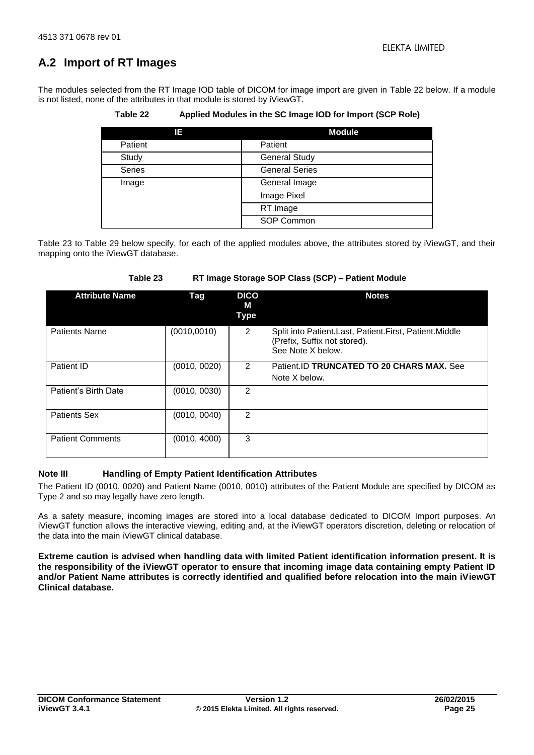## <span id="page-24-0"></span>**A.2 Import of RT Images**

<span id="page-24-1"></span>The modules selected from the RT Image IOD table of DICOM for image import are given in [Table 22](#page-24-1) below. If a module is not listed, none of the attributes in that module is stored by iViewGT.

**Table 22 Applied Modules in the SC Image IOD for Import (SCP Role)** 

| IΕ            | <b>Module</b>         |
|---------------|-----------------------|
| Patient       | Patient               |
| Study         | <b>General Study</b>  |
| <b>Series</b> | <b>General Series</b> |
| Image         | General Image         |
|               | Image Pixel           |
|               | RT Image              |
|               | SOP Common            |

[Table 23](#page-24-2) to [Table 29](#page-27-1) below specify, for each of the applied modules above, the attributes stored by iViewGT, and their mapping onto the iViewGT database.

<span id="page-24-2"></span>

| <b>Attribute Name</b>   | Tag          | <b>DICO</b><br>м<br><b>Type</b> | <b>Notes</b>                                                                                                |
|-------------------------|--------------|---------------------------------|-------------------------------------------------------------------------------------------------------------|
| <b>Patients Name</b>    | (0010, 0010) | 2                               | Split into Patient.Last, Patient.First, Patient.Middle<br>(Prefix, Suffix not stored).<br>See Note X below. |
| Patient ID              | (0010, 0020) | 2                               | Patient.ID TRUNCATED TO 20 CHARS MAX. See<br>Note X below.                                                  |
| Patient's Birth Date    | (0010, 0030) | 2                               |                                                                                                             |
| <b>Patients Sex</b>     | (0010, 0040) | 2                               |                                                                                                             |
| <b>Patient Comments</b> | (0010, 4000) | 3                               |                                                                                                             |

## **Table 23 RT Image Storage SOP Class (SCP) – Patient Module**

## **Note III Handling of Empty Patient Identification Attributes**

The Patient ID (0010, 0020) and Patient Name (0010, 0010) attributes of the Patient Module are specified by DICOM as Type 2 and so may legally have zero length.

As a safety measure, incoming images are stored into a local database dedicated to DICOM Import purposes. An iViewGT function allows the interactive viewing, editing and, at the iViewGT operators discretion, deleting or relocation of the data into the main iViewGT clinical database.

**Extreme caution is advised when handling data with limited Patient identification information present. It is the responsibility of the iViewGT operator to ensure that incoming image data containing empty Patient ID and/or Patient Name attributes is correctly identified and qualified before relocation into the main iViewGT Clinical database.**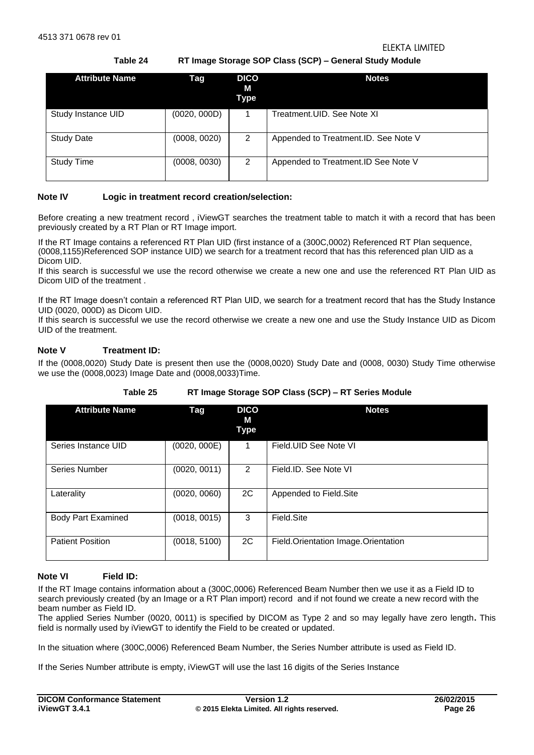**Table 24 RT Image Storage SOP Class (SCP) – General Study Module** 

<span id="page-25-0"></span>

| <b>Attribute Name</b> | Tag          | <b>DICO</b><br>М<br>Type | <b>Notes</b>                         |
|-----------------------|--------------|--------------------------|--------------------------------------|
| Study Instance UID    | (0020, 000D) |                          | Treatment.UID. See Note XI           |
| <b>Study Date</b>     | (0008, 0020) | 2                        | Appended to Treatment.ID. See Note V |
| <b>Study Time</b>     | (0008, 0030) | 2                        | Appended to Treatment.ID See Note V  |

## **Note IV Logic in treatment record creation/selection:**

Before creating a new treatment record , iViewGT searches the treatment table to match it with a record that has been previously created by a RT Plan or RT Image import.

If the RT Image contains a referenced RT Plan UID (first instance of a (300C,0002) Referenced RT Plan sequence, (0008,1155)Referenced SOP instance UID) we search for a treatment record that has this referenced plan UID as a Dicom UID.

If this search is successful we use the record otherwise we create a new one and use the referenced RT Plan UID as Dicom UID of the treatment .

If the RT Image doesn't contain a referenced RT Plan UID, we search for a treatment record that has the Study Instance UID (0020, 000D) as Dicom UID.

If this search is successful we use the record otherwise we create a new one and use the Study Instance UID as Dicom UID of the treatment.

## **Note V Treatment ID:**

If the (0008,0020) Study Date is present then use the (0008,0020) Study Date and (0008, 0030) Study Time otherwise we use the (0008,0023) Image Date and (0008,0033)Time.

<span id="page-25-1"></span>

| <b>Attribute Name</b>     | Tag          | <b>DICO</b><br>м<br>Type | <b>Notes</b>                        |
|---------------------------|--------------|--------------------------|-------------------------------------|
| Series Instance UID       | (0020, 000E) | 1                        | Field. UID See Note VI              |
| Series Number             | (0020, 0011) | 2                        | Field.ID. See Note VI               |
| Laterality                | (0020, 0060) | 2C                       | Appended to Field.Site              |
| <b>Body Part Examined</b> | (0018, 0015) | 3                        | Field.Site                          |
| <b>Patient Position</b>   | (0018, 5100) | 2C                       | Field.Orientation Image.Orientation |

**Table 25 RT Image Storage SOP Class (SCP) – RT Series Module** 

#### **Note VI Field ID:**

If the RT Image contains information about a (300C,0006) Referenced Beam Number then we use it as a Field ID to search previously created (by an Image or a RT Plan import) record and if not found we create a new record with the beam number as Field ID.

The applied Series Number (0020, 0011) is specified by DICOM as Type 2 and so may legally have zero length**.** This field is normally used by iViewGT to identify the Field to be created or updated.

In the situation where (300C,0006) Referenced Beam Number, the Series Number attribute is used as Field ID.

If the Series Number attribute is empty, iViewGT will use the last 16 digits of the Series Instance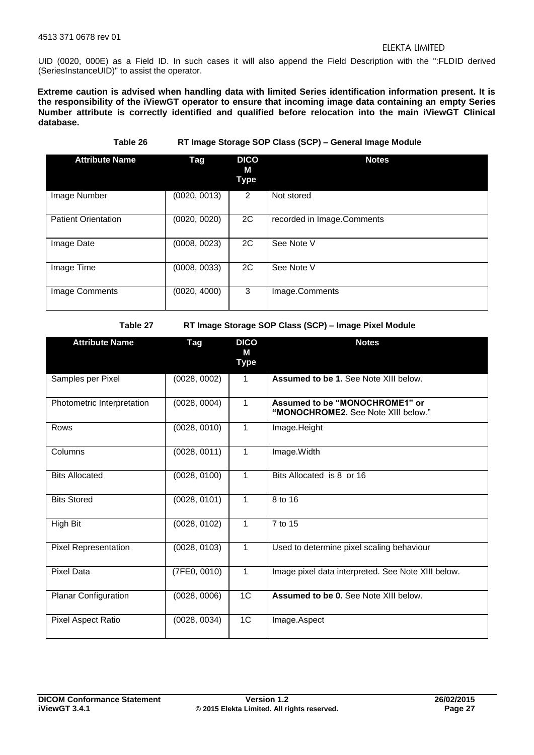UID (0020, 000E) as a Field ID. In such cases it will also append the Field Description with the ":FLDID derived (SeriesInstanceUID)" to assist the operator.

**Extreme caution is advised when handling data with limited Series identification information present. It is the responsibility of the iViewGT operator to ensure that incoming image data containing an empty Series Number attribute is correctly identified and qualified before relocation into the main iViewGT Clinical database.** 

**Table 26 RT Image Storage SOP Class (SCP) – General Image Module** 

<span id="page-26-0"></span>

| <b>Attribute Name</b>      | Tag          | <b>DICO</b><br>м<br>Type | <b>Notes</b>               |
|----------------------------|--------------|--------------------------|----------------------------|
| Image Number               | (0020, 0013) | 2                        | Not stored                 |
| <b>Patient Orientation</b> | (0020, 0020) | 2C                       | recorded in Image.Comments |
| Image Date                 | (0008, 0023) | 2C                       | See Note V                 |
| Image Time                 | (0008, 0033) | 2C                       | See Note V                 |
| Image Comments             | (0020, 4000) | 3                        | Image.Comments             |

**Table 27 RT Image Storage SOP Class (SCP) – Image Pixel Module** 

<span id="page-26-1"></span>

| <b>Attribute Name</b>       | Tag          | <b>DICO</b><br>М<br><b>Type</b> | <b>Notes</b>                                                          |
|-----------------------------|--------------|---------------------------------|-----------------------------------------------------------------------|
| Samples per Pixel           | (0028, 0002) | $\mathbf{1}$                    | <b>Assumed to be 1. See Note XIII below.</b>                          |
| Photometric Interpretation  | (0028, 0004) | $\mathbf{1}$                    | Assumed to be "MONOCHROME1" or<br>"MONOCHROME2. See Note XIII below." |
| <b>Rows</b>                 | (0028, 0010) | $\mathbf{1}$                    | Image.Height                                                          |
| Columns                     | (0028, 0011) | $\mathbf{1}$                    | Image.Width                                                           |
| <b>Bits Allocated</b>       | (0028, 0100) | $\mathbf{1}$                    | Bits Allocated is 8 or 16                                             |
| <b>Bits Stored</b>          | (0028, 0101) | $\mathbf{1}$                    | 8 to 16                                                               |
| High Bit                    | (0028, 0102) | $\mathbf{1}$                    | 7 to 15                                                               |
| <b>Pixel Representation</b> | (0028, 0103) | $\mathbf{1}$                    | Used to determine pixel scaling behaviour                             |
| <b>Pixel Data</b>           | (7FE0, 0010) | $\mathbf{1}$                    | Image pixel data interpreted. See Note XIII below.                    |
| <b>Planar Configuration</b> | (0028, 0006) | 1C                              | Assumed to be 0. See Note XIII below.                                 |
| Pixel Aspect Ratio          | (0028, 0034) | 1C                              | Image.Aspect                                                          |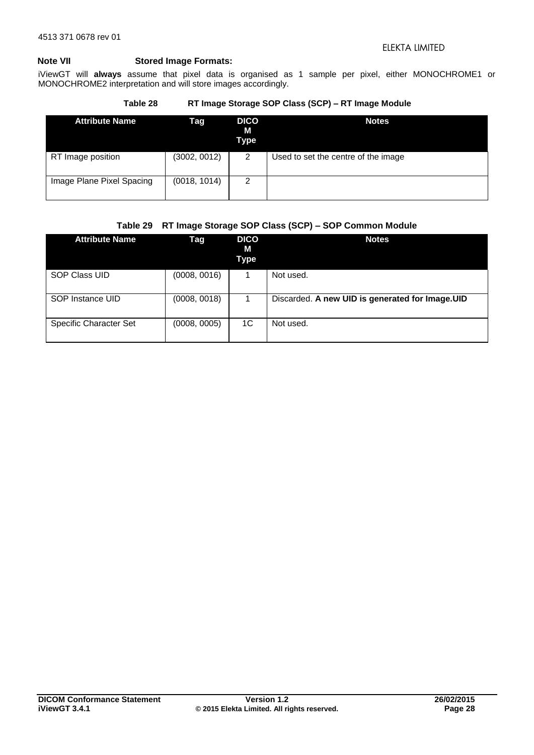## **Note VII Stored Image Formats:**

iViewGT will **always** assume that pixel data is organised as 1 sample per pixel, either MONOCHROME1 or MONOCHROME2 interpretation and will store images accordingly.

## **Table 28 RT Image Storage SOP Class (SCP) – RT Image Module**

<span id="page-27-0"></span>

| <b>Attribute Name</b>     | Tag          | <b>DICO</b><br>М<br>Type | <b>Notes</b>                        |
|---------------------------|--------------|--------------------------|-------------------------------------|
| RT Image position         | (3002, 0012) | 2                        | Used to set the centre of the image |
| Image Plane Pixel Spacing | (0018, 1014) | 2                        |                                     |

## **Table 29 RT Image Storage SOP Class (SCP) – SOP Common Module**

<span id="page-27-1"></span>

| <b>Attribute Name</b>         | Tag          | <b>DICO</b><br>М<br>Type | <b>Notes</b>                                    |
|-------------------------------|--------------|--------------------------|-------------------------------------------------|
| SOP Class UID                 | (0008, 0016) |                          | Not used.                                       |
| SOP Instance UID              | (0008, 0018) |                          | Discarded. A new UID is generated for Image.UID |
| <b>Specific Character Set</b> | (0008, 0005) | 1C                       | Not used.                                       |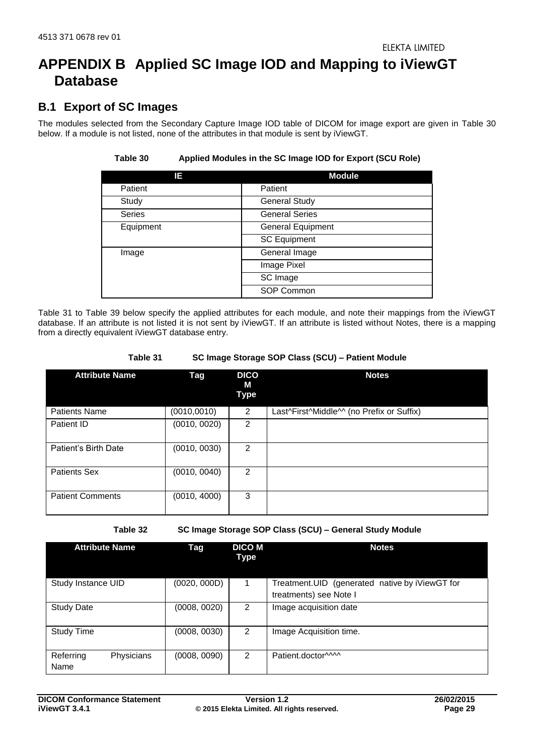## <span id="page-28-0"></span>**APPENDIX B Applied SC Image IOD and Mapping to iViewGT Database**

## <span id="page-28-1"></span>**B.1 Export of SC Images**

<span id="page-28-2"></span>The modules selected from the Secondary Capture Image IOD table of DICOM for image export are given in [Table 30](#page-28-2) below. If a module is not listed, none of the attributes in that module is sent by iViewGT.

| IΕ            | <b>Module</b>            |
|---------------|--------------------------|
| Patient       | Patient                  |
| Study         | <b>General Study</b>     |
| <b>Series</b> | <b>General Series</b>    |
| Equipment     | <b>General Equipment</b> |
|               | <b>SC Equipment</b>      |
| Image         | General Image            |
|               | Image Pixel              |
|               | SC Image                 |
|               | SOP Common               |

## **Table 30 Applied Modules in the SC Image IOD for Export (SCU Role)**

[Table 31](#page-28-3) to [Table 39](#page-31-2) below specify the applied attributes for each module, and note their mappings from the iViewGT database. If an attribute is not listed it is not sent by iViewGT. If an attribute is listed without Notes, there is a mapping from a directly equivalent iViewGT database entry.

<span id="page-28-3"></span>

| <b>Attribute Name</b>   | Tag          | <b>DICO</b><br>М<br>Type | <b>Notes</b>                              |
|-------------------------|--------------|--------------------------|-------------------------------------------|
| <b>Patients Name</b>    | (0010, 0010) | $\overline{2}$           | Last^First^Middle^^ (no Prefix or Suffix) |
| Patient ID              | (0010, 0020) | 2                        |                                           |
| Patient's Birth Date    | (0010, 0030) | 2                        |                                           |
| <b>Patients Sex</b>     | (0010, 0040) | 2                        |                                           |
| <b>Patient Comments</b> | (0010, 4000) | 3                        |                                           |

#### **Table 31 SC Image Storage SOP Class (SCU) – Patient Module**

**Table 32 SC Image Storage SOP Class (SCU) – General Study Module** 

<span id="page-28-4"></span>

| <b>Attribute Name</b>           | Tag          | <b>DICO M</b><br><b>Type</b> | <b>Notes</b>                                                             |
|---------------------------------|--------------|------------------------------|--------------------------------------------------------------------------|
| Study Instance UID              | (0020, 000D) | 1                            | Treatment.UID (generated native by iViewGT for<br>treatments) see Note I |
| <b>Study Date</b>               | (0008, 0020) | 2                            | Image acquisition date                                                   |
| <b>Study Time</b>               | (0008, 0030) | 2                            | Image Acquisition time.                                                  |
| Physicians<br>Referring<br>Name | (0008, 0090) | 2                            | Patient.doctor^^^^                                                       |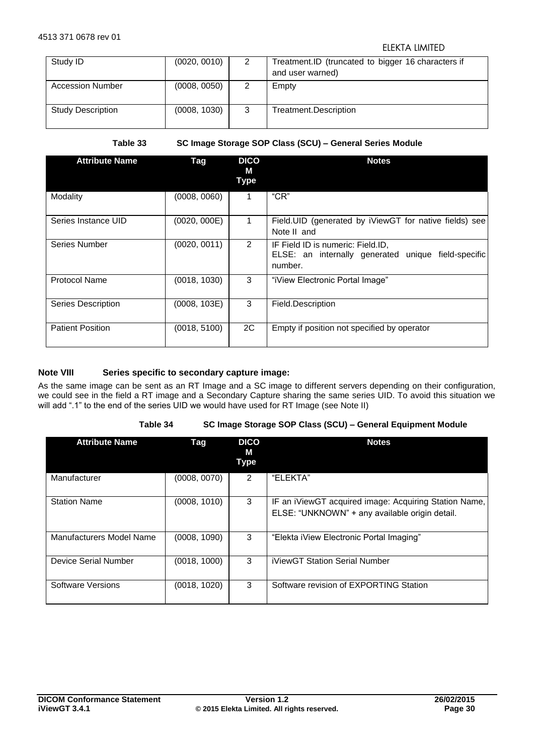| Study ID                 | (0020, 0010) | 2 | Treatment.ID (truncated to bigger 16 characters if<br>and user warned) |
|--------------------------|--------------|---|------------------------------------------------------------------------|
| <b>Accession Number</b>  | (0008, 0050) | 2 | Empty                                                                  |
| <b>Study Description</b> | (0008, 1030) | 3 | Treatment.Description                                                  |

| Table 33 |  |  |
|----------|--|--|

**Table 33 SC Image Storage SOP Class (SCU) – General Series Module** 

<span id="page-29-0"></span>

| <b>Attribute Name</b>     | Tag          | <b>DICO</b><br>М<br><b>Type</b> | <b>Notes</b>                                                                                        |
|---------------------------|--------------|---------------------------------|-----------------------------------------------------------------------------------------------------|
| Modality                  | (0008, 0060) | 1                               | "CR"                                                                                                |
| Series Instance UID       | (0020, 000E) |                                 | Field.UID (generated by iViewGT for native fields) see<br>Note II and                               |
| Series Number             | (0020, 0011) | 2                               | IF Field ID is numeric: Field.ID,<br>ELSE: an internally generated unique field-specific<br>number. |
| <b>Protocol Name</b>      | (0018, 1030) | 3                               | "iView Electronic Portal Image"                                                                     |
| <b>Series Description</b> | (0008, 103E) | 3                               | Field.Description                                                                                   |
| <b>Patient Position</b>   | (0018, 5100) | 2C                              | Empty if position not specified by operator                                                         |

## **Note VIII Series specific to secondary capture image:**

As the same image can be sent as an RT Image and a SC image to different servers depending on their configuration, we could see in the field a RT image and a Secondary Capture sharing the same series UID. To avoid this situation we will add ".1" to the end of the series UID we would have used for RT Image (see Note II)

#### **Table 34 SC Image Storage SOP Class (SCU) – General Equipment Module**

<span id="page-29-1"></span>

| <b>Attribute Name</b>    | Tag          | <b>DICO</b><br>М<br>Type | <b>Notes</b>                                                                                            |
|--------------------------|--------------|--------------------------|---------------------------------------------------------------------------------------------------------|
| Manufacturer             | (0008, 0070) | 2                        | "ELEKTA"                                                                                                |
| <b>Station Name</b>      | (0008, 1010) | 3                        | IF an iViewGT acquired image: Acquiring Station Name,<br>ELSE: "UNKNOWN" + any available origin detail. |
| Manufacturers Model Name | (0008, 1090) | 3                        | "Elekta iView Electronic Portal Imaging"                                                                |
| Device Serial Number     | (0018, 1000) | 3                        | iViewGT Station Serial Number                                                                           |
| Software Versions        | (0018, 1020) | 3                        | Software revision of EXPORTING Station                                                                  |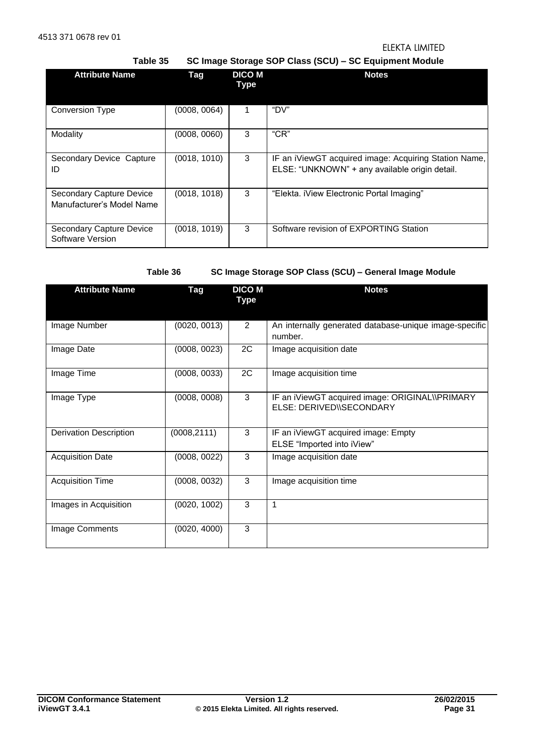**Table 35 SC Image Storage SOP Class (SCU) – SC Equipment Module**

<span id="page-30-0"></span>

| <b>Attribute Name</b>                                 | Tag          | <b>DICO M</b><br>Type | <b>Notes</b>                                                                                            |  |
|-------------------------------------------------------|--------------|-----------------------|---------------------------------------------------------------------------------------------------------|--|
| <b>Conversion Type</b>                                | (0008, 0064) |                       | "DV"                                                                                                    |  |
| Modality                                              | (0008, 0060) | 3                     | "CR"                                                                                                    |  |
| Secondary Device Capture<br>ID                        | (0018, 1010) | 3                     | IF an iViewGT acquired image: Acquiring Station Name,<br>ELSE: "UNKNOWN" + any available origin detail. |  |
| Secondary Capture Device<br>Manufacturer's Model Name | (0018, 1018) | 3                     | "Elekta. iView Electronic Portal Imaging"                                                               |  |
| Secondary Capture Device<br>Software Version          | (0018, 1019) | 3                     | Software revision of EXPORTING Station                                                                  |  |

**Table 36 SC Image Storage SOP Class (SCU) – General Image Module** 

<span id="page-30-1"></span>

| <b>Attribute Name</b>         | Tag          | <b>DICO M</b><br>Type | <b>Notes</b>                                                                |
|-------------------------------|--------------|-----------------------|-----------------------------------------------------------------------------|
| Image Number                  | (0020, 0013) | $\overline{2}$        | An internally generated database-unique image-specific<br>number.           |
| Image Date                    | (0008, 0023) | 2C                    | Image acquisition date                                                      |
| Image Time                    | (0008, 0033) | 2C                    | Image acquisition time                                                      |
| Image Type                    | (0008, 0008) | 3                     | IF an iViewGT acquired image: ORIGINAL\\PRIMARY<br>ELSE: DERIVED\\SECONDARY |
| <b>Derivation Description</b> | (0008, 2111) | 3                     | IF an iViewGT acquired image: Empty<br>ELSE "Imported into iView"           |
| <b>Acquisition Date</b>       | (0008, 0022) | 3                     | Image acquisition date                                                      |
| <b>Acquisition Time</b>       | (0008, 0032) | 3                     | Image acquisition time                                                      |
| Images in Acquisition         | (0020, 1002) | 3                     | 1                                                                           |
| Image Comments                | (0020, 4000) | 3                     |                                                                             |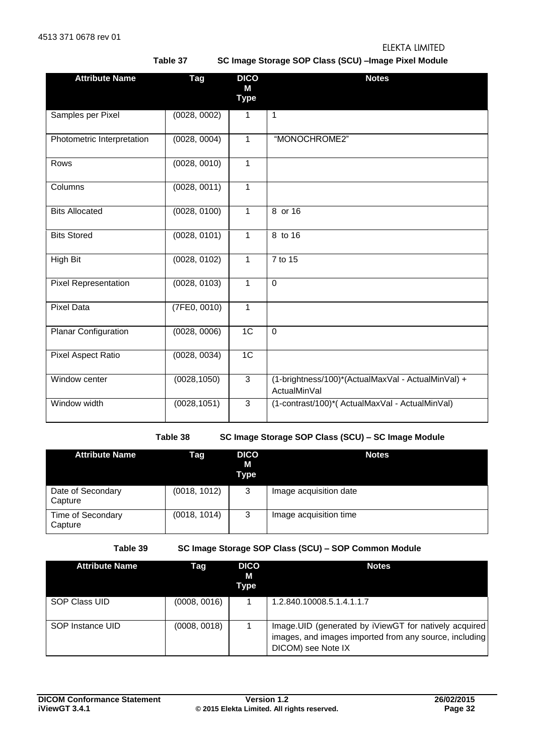**Table 37 SC Image Storage SOP Class (SCU) –Image Pixel Module** 

<span id="page-31-0"></span>

| <b>Attribute Name</b>       | <b>Tag</b>   | <b>DICO</b><br>M | <b>Notes</b>                                                       |
|-----------------------------|--------------|------------------|--------------------------------------------------------------------|
|                             |              | <b>Type</b>      |                                                                    |
| Samples per Pixel           | (0028, 0002) | $\mathbf{1}$     | $\mathbf{1}$                                                       |
| Photometric Interpretation  | (0028, 0004) | $\mathbf{1}$     | "MONOCHROME2"                                                      |
| Rows                        | (0028, 0010) | 1                |                                                                    |
| Columns                     | (0028, 0011) | 1                |                                                                    |
| <b>Bits Allocated</b>       | (0028, 0100) | 1                | 8 or $16$                                                          |
| <b>Bits Stored</b>          | (0028, 0101) | 1                | 8 to 16                                                            |
| High Bit                    | (0028, 0102) | 1                | 7 to 15                                                            |
| <b>Pixel Representation</b> | (0028, 0103) | $\mathbf{1}$     | $\Omega$                                                           |
| <b>Pixel Data</b>           | (7FE0, 0010) | $\mathbf{1}$     |                                                                    |
| Planar Configuration        | (0028, 0006) | 1C               | $\mathbf 0$                                                        |
| <b>Pixel Aspect Ratio</b>   | (0028, 0034) | $\overline{1C}$  |                                                                    |
| Window center               | (0028, 1050) | 3                | (1-brightness/100)*(ActualMaxVal - ActualMinVal) +<br>ActualMinVal |
| Window width                | (0028, 1051) | 3                | (1-contrast/100)*(ActualMaxVal - ActualMinVal)                     |

**Table 38 SC Image Storage SOP Class (SCU) – SC Image Module** 

<span id="page-31-1"></span>

| <b>Attribute Name</b>        | Tag          | <b>DICO</b><br>M<br>Type | <b>Notes</b>           |
|------------------------------|--------------|--------------------------|------------------------|
| Date of Secondary<br>Capture | (0018, 1012) | 3                        | Image acquisition date |
| Time of Secondary<br>Capture | (0018, 1014) | 3                        | Image acquisition time |

**Table 39 SC Image Storage SOP Class (SCU) – SOP Common Module** 

<span id="page-31-2"></span>

| <b>Attribute Name</b> | Tag          | <b>DICO</b><br>М<br>Type | <b>Notes</b>                                                                                                                          |
|-----------------------|--------------|--------------------------|---------------------------------------------------------------------------------------------------------------------------------------|
| SOP Class UID         | (0008, 0016) |                          | 1.2.840.10008.5.1.4.1.1.7                                                                                                             |
| SOP Instance UID      | (0008, 0018) |                          | Image.UID (generated by iViewGT for natively acquired<br>images, and images imported from any source, including<br>DICOM) see Note IX |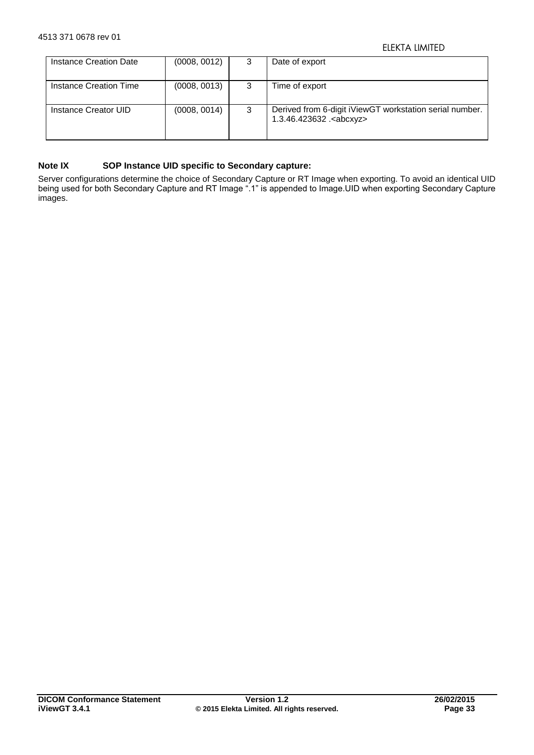| Instance Creation Date | (0008, 0012) | 3 | Date of export                                                                               |
|------------------------|--------------|---|----------------------------------------------------------------------------------------------|
| Instance Creation Time | (0008, 0013) | 3 | Time of export                                                                               |
| Instance Creator UID   | (0008, 0014) | 3 | Derived from 6-digit iViewGT workstation serial number.<br>1.3.46.423632 . <abcxyz></abcxyz> |

## **Note IX SOP Instance UID specific to Secondary capture:**

Server configurations determine the choice of Secondary Capture or RT Image when exporting. To avoid an identical UID being used for both Secondary Capture and RT Image ".1" is appended to Image.UID when exporting Secondary Capture images.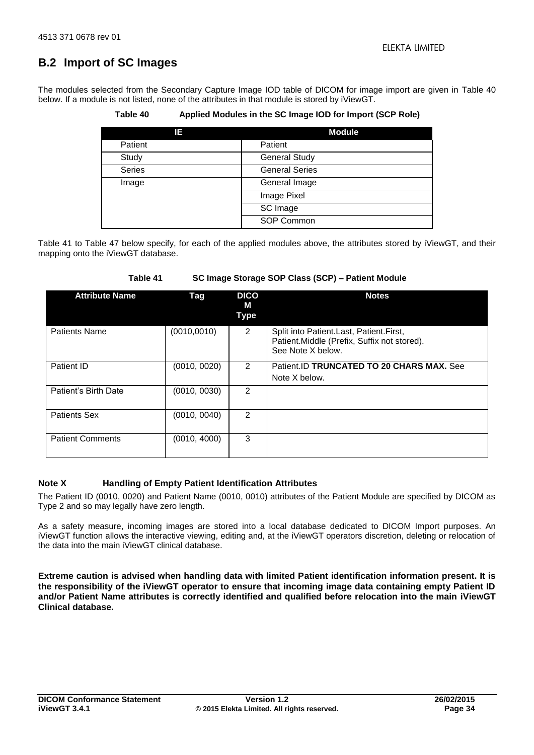## <span id="page-33-0"></span>**B.2 Import of SC Images**

<span id="page-33-1"></span>The modules selected from the Secondary Capture Image IOD table of DICOM for image import are given in [Table 40](#page-33-1) below. If a module is not listed, none of the attributes in that module is stored by iViewGT.

**Table 40 Applied Modules in the SC Image IOD for Import (SCP Role)** 

| Е             | <b>Module</b>         |
|---------------|-----------------------|
| Patient       | Patient               |
| Study         | <b>General Study</b>  |
| <b>Series</b> | <b>General Series</b> |
| Image         | General Image         |
|               | Image Pixel           |
|               | SC Image              |
|               | SOP Common            |

[Table 41](#page-33-2) to [Table 47](#page-36-1) below specify, for each of the applied modules above, the attributes stored by iViewGT, and their mapping onto the iViewGT database.

<span id="page-33-2"></span>

| <b>Attribute Name</b>   | Tag          | <b>DICO</b><br>м<br>Type | <b>Notes</b>                                                                                                 |
|-------------------------|--------------|--------------------------|--------------------------------------------------------------------------------------------------------------|
| <b>Patients Name</b>    | (0010, 0010) | 2                        | Split into Patient.Last, Patient.First,<br>Patient. Middle (Prefix, Suffix not stored).<br>See Note X below. |
| Patient ID              | (0010, 0020) | $\mathcal{P}$            | Patient.ID TRUNCATED TO 20 CHARS MAX. See<br>Note X below.                                                   |
| Patient's Birth Date    | (0010, 0030) | $\mathcal{P}$            |                                                                                                              |
| <b>Patients Sex</b>     | (0010, 0040) | 2                        |                                                                                                              |
| <b>Patient Comments</b> | (0010, 4000) | 3                        |                                                                                                              |

## **Table 41 SC Image Storage SOP Class (SCP) – Patient Module**

## **Note X Handling of Empty Patient Identification Attributes**

The Patient ID (0010, 0020) and Patient Name (0010, 0010) attributes of the Patient Module are specified by DICOM as Type 2 and so may legally have zero length.

As a safety measure, incoming images are stored into a local database dedicated to DICOM Import purposes. An iViewGT function allows the interactive viewing, editing and, at the iViewGT operators discretion, deleting or relocation of the data into the main iViewGT clinical database.

**Extreme caution is advised when handling data with limited Patient identification information present. It is the responsibility of the iViewGT operator to ensure that incoming image data containing empty Patient ID and/or Patient Name attributes is correctly identified and qualified before relocation into the main iViewGT Clinical database.**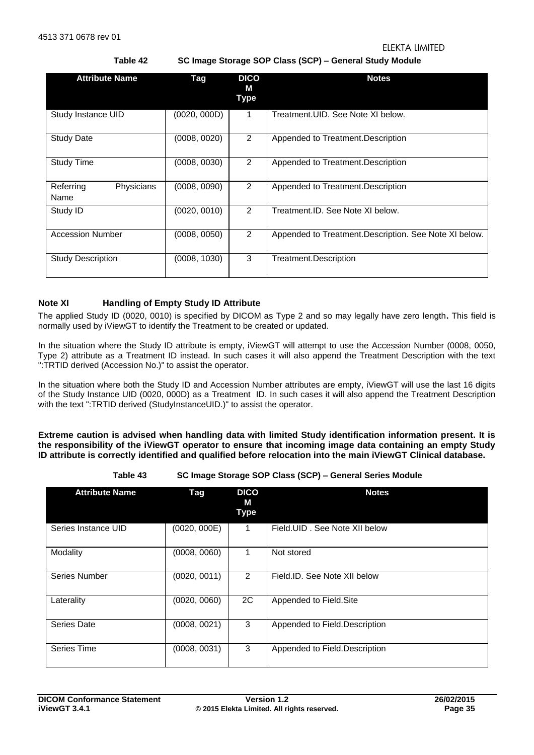**Table 42 SC Image Storage SOP Class (SCP) – General Study Module** 

<span id="page-34-0"></span>

| <b>Attribute Name</b>           | Tag          | <b>DICO</b><br>м<br><b>Type</b> | <b>Notes</b>                                           |
|---------------------------------|--------------|---------------------------------|--------------------------------------------------------|
| Study Instance UID              | (0020, 000D) | 1                               | Treatment. UID. See Note XI below.                     |
| <b>Study Date</b>               | (0008, 0020) | 2                               | Appended to Treatment. Description                     |
| <b>Study Time</b>               | (0008, 0030) | $\overline{2}$                  | Appended to Treatment. Description                     |
| Referring<br>Physicians<br>Name | (0008, 0090) | $\overline{2}$                  | Appended to Treatment. Description                     |
| Study ID                        | (0020, 0010) | 2                               | Treatment.ID. See Note XI below.                       |
| <b>Accession Number</b>         | (0008, 0050) | $\overline{2}$                  | Appended to Treatment. Description. See Note XI below. |
| <b>Study Description</b>        | (0008, 1030) | 3                               | Treatment.Description                                  |

## **Note XI Handling of Empty Study ID Attribute**

The applied Study ID (0020, 0010) is specified by DICOM as Type 2 and so may legally have zero length**.** This field is normally used by iViewGT to identify the Treatment to be created or updated.

In the situation where the Study ID attribute is empty, iViewGT will attempt to use the Accession Number (0008, 0050, Type 2) attribute as a Treatment ID instead. In such cases it will also append the Treatment Description with the text ":TRTID derived (Accession No.)" to assist the operator.

In the situation where both the Study ID and Accession Number attributes are empty, iViewGT will use the last 16 digits of the Study Instance UID (0020, 000D) as a Treatment ID. In such cases it will also append the Treatment Description with the text ":TRTID derived (StudyInstanceUID.)" to assist the operator.

**Extreme caution is advised when handling data with limited Study identification information present. It is the responsibility of the iViewGT operator to ensure that incoming image data containing an empty Study ID attribute is correctly identified and qualified before relocation into the main iViewGT Clinical database.** 

**Table 43 SC Image Storage SOP Class (SCP) – General Series Module** 

<span id="page-34-1"></span>

| <b>Attribute Name</b> | Tag          | <b>DICO</b><br>М<br><b>Type</b> | <b>Notes</b>                   |
|-----------------------|--------------|---------------------------------|--------------------------------|
| Series Instance UID   | (0020, 000E) | 1                               | Field. UID, See Note XII below |
| Modality              | (0008, 0060) | 1                               | Not stored                     |
| Series Number         | (0020, 0011) | 2                               | Field.ID. See Note XII below   |
| Laterality            | (0020, 0060) | 2C                              | Appended to Field.Site         |
| <b>Series Date</b>    | (0008, 0021) | 3                               | Appended to Field.Description  |
| Series Time           | (0008, 0031) | 3                               | Appended to Field.Description  |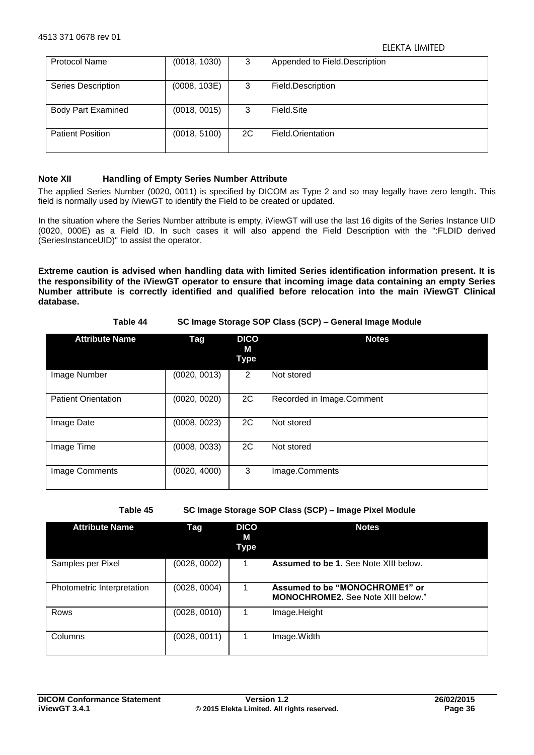| <b>Protocol Name</b>      | (0018, 1030) | 3  | Appended to Field.Description |
|---------------------------|--------------|----|-------------------------------|
| <b>Series Description</b> | (0008, 103E) | 3  | Field.Description             |
| <b>Body Part Examined</b> | (0018, 0015) | 3  | Field Site                    |
| <b>Patient Position</b>   | (0018, 5100) | 2C | Field.Orientation             |

## **Note XII Handling of Empty Series Number Attribute**

The applied Series Number (0020, 0011) is specified by DICOM as Type 2 and so may legally have zero length**.** This field is normally used by iViewGT to identify the Field to be created or updated.

In the situation where the Series Number attribute is empty, iViewGT will use the last 16 digits of the Series Instance UID (0020, 000E) as a Field ID. In such cases it will also append the Field Description with the ":FLDID derived (SeriesInstanceUID)" to assist the operator.

**Extreme caution is advised when handling data with limited Series identification information present. It is the responsibility of the iViewGT operator to ensure that incoming image data containing an empty Series Number attribute is correctly identified and qualified before relocation into the main iViewGT Clinical database.** 

## **Table 44 SC Image Storage SOP Class (SCP) – General Image Module**

<span id="page-35-0"></span>

| <b>Attribute Name</b>      | Tag          | <b>DICO</b><br>М<br>Type | <b>Notes</b>              |
|----------------------------|--------------|--------------------------|---------------------------|
| Image Number               | (0020, 0013) | 2                        | Not stored                |
| <b>Patient Orientation</b> | (0020, 0020) | 2C                       | Recorded in Image.Comment |
| Image Date                 | (0008, 0023) | 2C                       | Not stored                |
| Image Time                 | (0008, 0033) | 2C                       | Not stored                |
| Image Comments             | (0020, 4000) | 3                        | Image.Comments            |

**Table 45 SC Image Storage SOP Class (SCP) – Image Pixel Module** 

<span id="page-35-1"></span>

| <b>Attribute Name</b>      | Tag          | <b>DICO</b><br>М<br>Type | <b>Notes</b>                                                                |
|----------------------------|--------------|--------------------------|-----------------------------------------------------------------------------|
| Samples per Pixel          | (0028, 0002) | 1                        | Assumed to be 1. See Note XIII below.                                       |
| Photometric Interpretation | (0028, 0004) |                          | Assumed to be "MONOCHROME1" or<br><b>MONOCHROME2.</b> See Note XIII below." |
| Rows                       | (0028, 0010) |                          | Image.Height                                                                |
| Columns                    | (0028, 0011) |                          | Image. Width                                                                |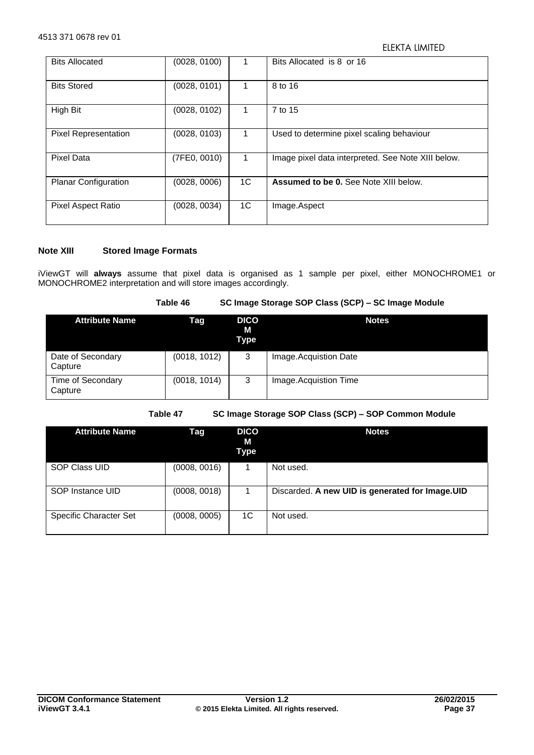| <b>Bits Allocated</b>       | (0028, 0100) |    | Bits Allocated is 8 or 16                          |
|-----------------------------|--------------|----|----------------------------------------------------|
| <b>Bits Stored</b>          | (0028, 0101) | 1. | 8 to 16                                            |
| High Bit                    | (0028, 0102) |    | 7 to 15                                            |
| <b>Pixel Representation</b> | (0028, 0103) | 1. | Used to determine pixel scaling behaviour          |
| Pixel Data                  | (7FE0, 0010) | 1  | Image pixel data interpreted. See Note XIII below. |
| <b>Planar Configuration</b> | (0028, 0006) | 1C | <b>Assumed to be 0.</b> See Note XIII below.       |
| <b>Pixel Aspect Ratio</b>   | (0028, 0034) | 1C | Image.Aspect                                       |

## **Note XIII Stored Image Formats**

iViewGT will **always** assume that pixel data is organised as 1 sample per pixel, either MONOCHROME1 or MONOCHROME2 interpretation and will store images accordingly.

| Table 46 | SC Image Storage SOP Class (SCP) - SC Image Module |
|----------|----------------------------------------------------|
|----------|----------------------------------------------------|

<span id="page-36-0"></span>

| <b>Attribute Name</b>        | Tag          | <b>DICO</b><br>М<br><b>Type</b> | <b>Notes</b>          |
|------------------------------|--------------|---------------------------------|-----------------------|
| Date of Secondary<br>Capture | (0018, 1012) | 3                               | Image.Acquistion Date |
| Time of Secondary<br>Capture | (0018, 1014) | 3                               | Image.Acquistion Time |

**Table 47 SC Image Storage SOP Class (SCP) – SOP Common Module** 

<span id="page-36-1"></span>

| <b>Attribute Name</b>         | Tag          | <b>DICO</b><br>М<br>Type | <b>Notes</b>                                     |
|-------------------------------|--------------|--------------------------|--------------------------------------------------|
| <b>SOP Class UID</b>          | (0008, 0016) |                          | Not used.                                        |
| SOP Instance UID              | (0008, 0018) |                          | Discarded. A new UID is generated for Image. UID |
| <b>Specific Character Set</b> | (0008, 0005) | 1C                       | Not used.                                        |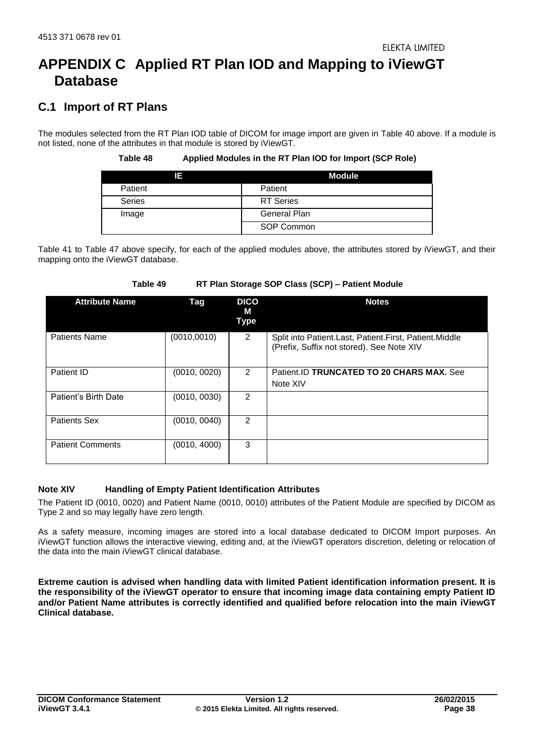# <span id="page-37-0"></span>**APPENDIX C Applied RT Plan IOD and Mapping to iViewGT Database**

## <span id="page-37-1"></span>**C.1 Import of RT Plans**

<span id="page-37-2"></span>The modules selected from the RT Plan IOD table of DICOM for image import are given in [Table 40](#page-33-1) above. If a module is not listed, none of the attributes in that module is stored by iViewGT.

**Table 48 Applied Modules in the RT Plan IOD for Import (SCP Role)** 

| 13      | Module           |
|---------|------------------|
| Patient | Patient          |
| Series  | <b>RT</b> Series |
| Image   | General Plan     |
|         | SOP Common       |

[Table 41](#page-33-2) to [Table 47](#page-36-1) above specify, for each of the applied modules above, the attributes stored by iViewGT, and their mapping onto the iViewGT database.

| Table 49 |  |  |  |  |  | RT Plan Storage SOP Class (SCP) - Patient Module |  |
|----------|--|--|--|--|--|--------------------------------------------------|--|
|----------|--|--|--|--|--|--------------------------------------------------|--|

<span id="page-37-3"></span>

| <b>Attribute Name</b>   | Tag          | <b>DICO</b><br>м<br><b>Type</b> | <b>Notes</b>                                                                                        |
|-------------------------|--------------|---------------------------------|-----------------------------------------------------------------------------------------------------|
| <b>Patients Name</b>    | (0010, 0010) | 2                               | Split into Patient.Last, Patient.First, Patient.Middle<br>(Prefix, Suffix not stored). See Note XIV |
| Patient ID              | (0010, 0020) | $\mathfrak{p}$                  | Patient.ID TRUNCATED TO 20 CHARS MAX. See<br>Note XIV                                               |
| Patient's Birth Date    | (0010, 0030) | 2                               |                                                                                                     |
| <b>Patients Sex</b>     | (0010, 0040) | 2                               |                                                                                                     |
| <b>Patient Comments</b> | (0010, 4000) | 3                               |                                                                                                     |

## **Note XIV Handling of Empty Patient Identification Attributes**

The Patient ID (0010, 0020) and Patient Name (0010, 0010) attributes of the Patient Module are specified by DICOM as Type 2 and so may legally have zero length.

As a safety measure, incoming images are stored into a local database dedicated to DICOM Import purposes. An iViewGT function allows the interactive viewing, editing and, at the iViewGT operators discretion, deleting or relocation of the data into the main iViewGT clinical database.

**Extreme caution is advised when handling data with limited Patient identification information present. It is the responsibility of the iViewGT operator to ensure that incoming image data containing empty Patient ID and/or Patient Name attributes is correctly identified and qualified before relocation into the main iViewGT Clinical database.**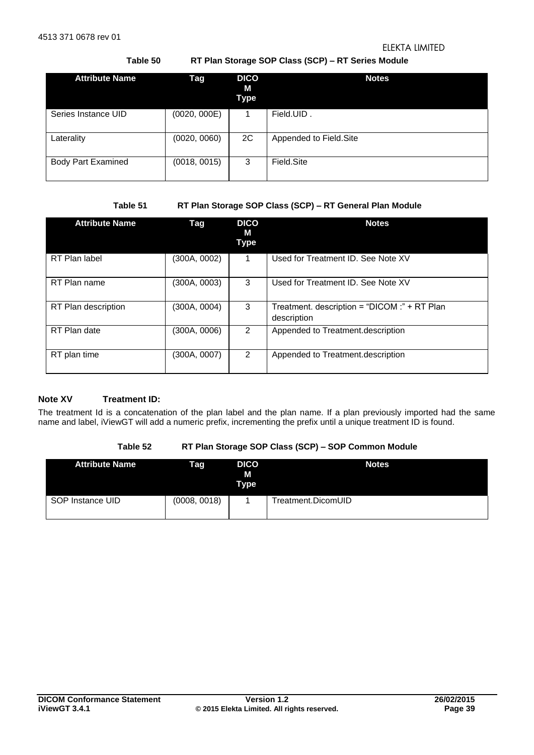## **Table 50 RT Plan Storage SOP Class (SCP) – RT Series Module**

<span id="page-38-0"></span>

| <b>Attribute Name</b>     | Tag          | <b>DICO</b><br>М<br>Type | <b>Notes</b>           |
|---------------------------|--------------|--------------------------|------------------------|
| Series Instance UID       | (0020, 000E) | 1                        | Field.UID.             |
| Laterality                | (0020, 0060) | 2C                       | Appended to Field.Site |
| <b>Body Part Examined</b> | (0018, 0015) | 3                        | Field Site             |

## **Table 51 RT Plan Storage SOP Class (SCP) – RT General Plan Module**

<span id="page-38-1"></span>

| <b>Attribute Name</b> | Tag          | <b>DICO</b><br>м<br>Type | <b>Notes</b>                                                |
|-----------------------|--------------|--------------------------|-------------------------------------------------------------|
| RT Plan label         | (300A, 0002) | 1                        | Used for Treatment ID. See Note XV                          |
| RT Plan name          | (300A, 0003) | 3                        | Used for Treatment ID. See Note XV                          |
| RT Plan description   | (300A, 0004) | 3                        | Treatment. description = "DICOM :" + RT Plan<br>description |
| RT Plan date          | (300A, 0006) | 2                        | Appended to Treatment.description                           |
| RT plan time          | (300A, 0007) | 2                        | Appended to Treatment.description                           |

## **Note XV Treatment ID:**

The treatment Id is a concatenation of the plan label and the plan name. If a plan previously imported had the same name and label, iViewGT will add a numeric prefix, incrementing the prefix until a unique treatment ID is found.

## **Table 52 RT Plan Storage SOP Class (SCP) – SOP Common Module**

<span id="page-38-2"></span>

| <b>Attribute Name</b> | Tag          | <b>DICO</b><br>М<br><b>Type</b> | <b>Notes</b>       |
|-----------------------|--------------|---------------------------------|--------------------|
| SOP Instance UID      | (0008, 0018) |                                 | Treatment.DicomUID |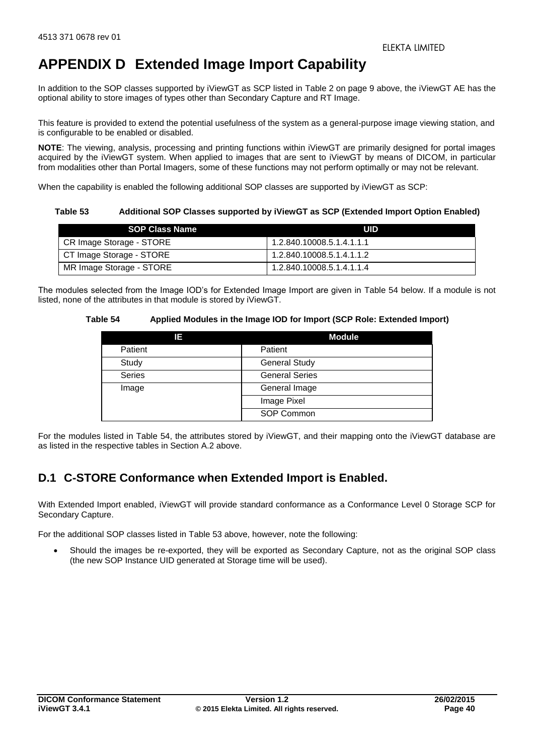# <span id="page-39-0"></span>**APPENDIX D Extended Image Import Capability**

In addition to the SOP classes supported by iViewGT as SCP listed in [Table 2](#page-8-5) on page [9](#page-8-5) above, the iViewGT AE has the optional ability to store images of types other than Secondary Capture and RT Image.

This feature is provided to extend the potential usefulness of the system as a general-purpose image viewing station, and is configurable to be enabled or disabled.

**NOTE**: The viewing, analysis, processing and printing functions within iViewGT are primarily designed for portal images acquired by the iViewGT system. When applied to images that are sent to iViewGT by means of DICOM, in particular from modalities other than Portal Imagers, some of these functions may not perform optimally or may not be relevant.

When the capability is enabled the following additional SOP classes are supported by iViewGT as SCP:

<span id="page-39-2"></span>**Table 53 Additional SOP Classes supported by iViewGT as SCP (Extended Import Option Enabled)** 

| <b>SOP Class Name</b>    | UID                       |
|--------------------------|---------------------------|
| CR Image Storage - STORE | 1.2.840.10008.5.1.4.1.1.1 |
| CT Image Storage - STORE | 1.2.840.10008.5.1.4.1.1.2 |
| MR Image Storage - STORE | 1.2.840.10008.5.1.4.1.1.4 |

<span id="page-39-3"></span>The modules selected from the Image IOD's for Extended Image Import are given in [Table 54](#page-39-3) below. If a module is not listed, none of the attributes in that module is stored by iViewGT.

## **Table 54 Applied Modules in the Image IOD for Import (SCP Role: Extended Import)**

| 13      | <b>Module</b>         |
|---------|-----------------------|
| Patient | Patient               |
| Study   | <b>General Study</b>  |
| Series  | <b>General Series</b> |
| Image   | General Image         |
|         | Image Pixel           |
|         | SOP Common            |

For the modules listed in [Table 54,](#page-39-3) the attributes stored by iViewGT, and their mapping onto the iViewGT database are as listed in the respective tables in Section [A.2 above.](#page-24-0)

## <span id="page-39-1"></span>**D.1 C-STORE Conformance when Extended Import is Enabled.**

With Extended Import enabled, iViewGT will provide standard conformance as a Conformance Level 0 Storage SCP for Secondary Capture.

For the additional SOP classes listed in [Table 53](#page-39-2) above, however, note the following:

 Should the images be re-exported, they will be exported as Secondary Capture, not as the original SOP class (the new SOP Instance UID generated at Storage time will be used).